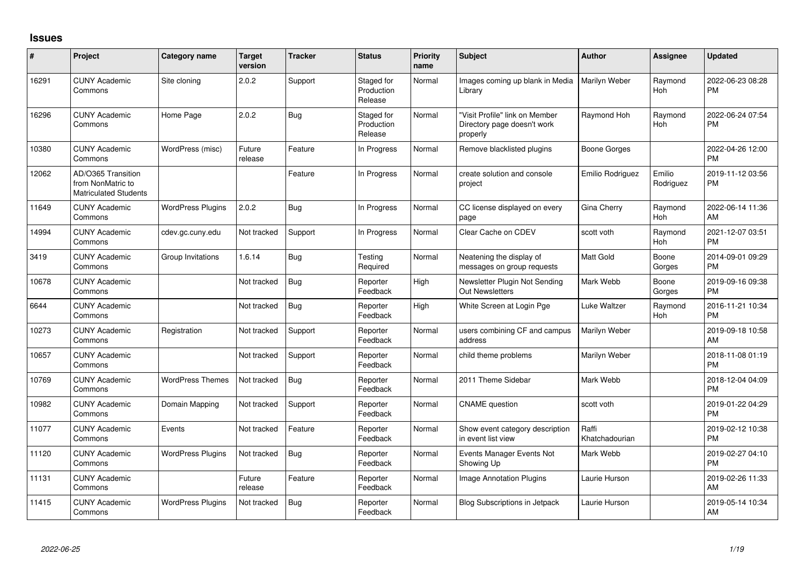## **Issues**

| ∦     | Project                                                                 | <b>Category name</b>     | <b>Target</b><br>version | <b>Tracker</b> | <b>Status</b>                       | <b>Priority</b><br>name | Subject                                                                   | <b>Author</b>           | <b>Assignee</b>     | <b>Updated</b>                |
|-------|-------------------------------------------------------------------------|--------------------------|--------------------------|----------------|-------------------------------------|-------------------------|---------------------------------------------------------------------------|-------------------------|---------------------|-------------------------------|
| 16291 | <b>CUNY Academic</b><br>Commons                                         | Site cloning             | 2.0.2                    | Support        | Staged for<br>Production<br>Release | Normal                  | Images coming up blank in Media<br>Library                                | Marilyn Weber           | Raymond<br>Hoh      | 2022-06-23 08:28<br><b>PM</b> |
| 16296 | <b>CUNY Academic</b><br>Commons                                         | Home Page                | 2.0.2                    | Bug            | Staged for<br>Production<br>Release | Normal                  | 'Visit Profile" link on Member<br>Directory page doesn't work<br>properly | Raymond Hoh             | Raymond<br>Hoh      | 2022-06-24 07:54<br><b>PM</b> |
| 10380 | <b>CUNY Academic</b><br>Commons                                         | WordPress (misc)         | Future<br>release        | Feature        | In Progress                         | Normal                  | Remove blacklisted plugins                                                | Boone Gorges            |                     | 2022-04-26 12:00<br><b>PM</b> |
| 12062 | AD/O365 Transition<br>from NonMatric to<br><b>Matriculated Students</b> |                          |                          | Feature        | In Progress                         | Normal                  | create solution and console<br>project                                    | Emilio Rodriguez        | Emilio<br>Rodriguez | 2019-11-12 03:56<br><b>PM</b> |
| 11649 | <b>CUNY Academic</b><br>Commons                                         | <b>WordPress Plugins</b> | 2.0.2                    | Bug            | In Progress                         | Normal                  | CC license displayed on every<br>page                                     | <b>Gina Cherry</b>      | Raymond<br>Hoh      | 2022-06-14 11:36<br>AM        |
| 14994 | <b>CUNY Academic</b><br>Commons                                         | cdev.gc.cuny.edu         | Not tracked              | Support        | In Progress                         | Normal                  | Clear Cache on CDEV                                                       | scott voth              | Raymond<br>Hoh      | 2021-12-07 03:51<br><b>PM</b> |
| 3419  | <b>CUNY Academic</b><br>Commons                                         | Group Invitations        | 1.6.14                   | Bug            | Testing<br>Required                 | Normal                  | Neatening the display of<br>messages on group requests                    | <b>Matt Gold</b>        | Boone<br>Gorges     | 2014-09-01 09:29<br><b>PM</b> |
| 10678 | <b>CUNY Academic</b><br>Commons                                         |                          | Not tracked              | Bug            | Reporter<br>Feedback                | High                    | Newsletter Plugin Not Sending<br><b>Out Newsletters</b>                   | Mark Webb               | Boone<br>Gorges     | 2019-09-16 09:38<br><b>PM</b> |
| 6644  | <b>CUNY Academic</b><br>Commons                                         |                          | Not tracked              | <b>Bug</b>     | Reporter<br>Feedback                | High                    | White Screen at Login Pge                                                 | Luke Waltzer            | Raymond<br>Hoh      | 2016-11-21 10:34<br><b>PM</b> |
| 10273 | <b>CUNY Academic</b><br>Commons                                         | Registration             | Not tracked              | Support        | Reporter<br>Feedback                | Normal                  | users combining CF and campus<br>address                                  | Marilyn Weber           |                     | 2019-09-18 10:58<br>AM        |
| 10657 | <b>CUNY Academic</b><br>Commons                                         |                          | Not tracked              | Support        | Reporter<br>Feedback                | Normal                  | child theme problems                                                      | Marilyn Weber           |                     | 2018-11-08 01:19<br><b>PM</b> |
| 10769 | <b>CUNY Academic</b><br>Commons                                         | <b>WordPress Themes</b>  | Not tracked              | Bug            | Reporter<br>Feedback                | Normal                  | 2011 Theme Sidebar                                                        | Mark Webb               |                     | 2018-12-04 04:09<br><b>PM</b> |
| 10982 | <b>CUNY Academic</b><br>Commons                                         | Domain Mapping           | Not tracked              | Support        | Reporter<br>Feedback                | Normal                  | <b>CNAME</b> question                                                     | scott voth              |                     | 2019-01-22 04:29<br><b>PM</b> |
| 11077 | <b>CUNY Academic</b><br>Commons                                         | Events                   | Not tracked              | Feature        | Reporter<br>Feedback                | Normal                  | Show event category description<br>in event list view                     | Raffi<br>Khatchadourian |                     | 2019-02-12 10:38<br><b>PM</b> |
| 11120 | <b>CUNY Academic</b><br>Commons                                         | <b>WordPress Plugins</b> | Not tracked              | Bug            | Reporter<br>Feedback                | Normal                  | Events Manager Events Not<br>Showing Up                                   | Mark Webb               |                     | 2019-02-27 04:10<br><b>PM</b> |
| 11131 | <b>CUNY Academic</b><br>Commons                                         |                          | Future<br>release        | Feature        | Reporter<br>Feedback                | Normal                  | <b>Image Annotation Plugins</b>                                           | Laurie Hurson           |                     | 2019-02-26 11:33<br>AM        |
| 11415 | <b>CUNY Academic</b><br>Commons                                         | <b>WordPress Plugins</b> | Not tracked              | Bug            | Reporter<br>Feedback                | Normal                  | <b>Blog Subscriptions in Jetpack</b>                                      | Laurie Hurson           |                     | 2019-05-14 10:34<br>AM        |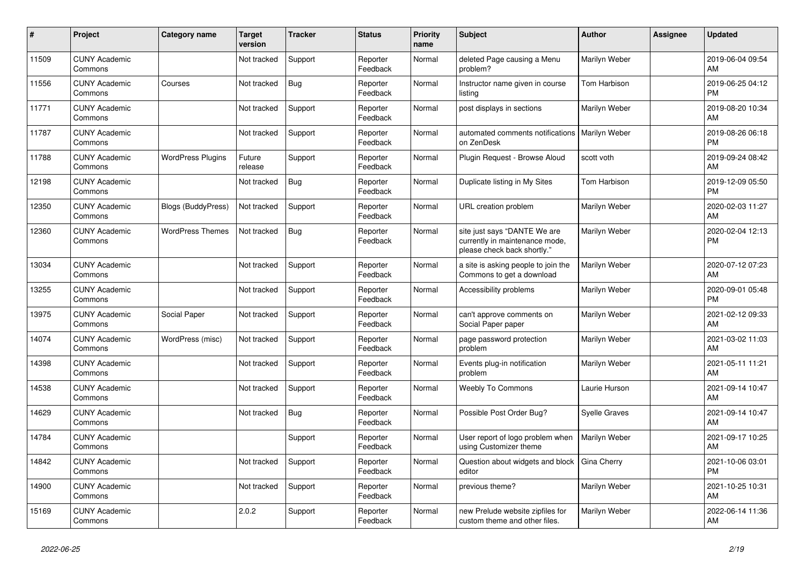| #     | Project                         | <b>Category name</b>      | <b>Target</b><br>version | <b>Tracker</b> | <b>Status</b>        | <b>Priority</b><br>name | <b>Subject</b>                                                                                | <b>Author</b>        | <b>Assignee</b> | <b>Updated</b>                |
|-------|---------------------------------|---------------------------|--------------------------|----------------|----------------------|-------------------------|-----------------------------------------------------------------------------------------------|----------------------|-----------------|-------------------------------|
| 11509 | <b>CUNY Academic</b><br>Commons |                           | Not tracked              | Support        | Reporter<br>Feedback | Normal                  | deleted Page causing a Menu<br>problem?                                                       | Marilyn Weber        |                 | 2019-06-04 09:54<br>AM        |
| 11556 | <b>CUNY Academic</b><br>Commons | Courses                   | Not tracked              | Bug            | Reporter<br>Feedback | Normal                  | Instructor name given in course<br>listing                                                    | Tom Harbison         |                 | 2019-06-25 04:12<br><b>PM</b> |
| 11771 | <b>CUNY Academic</b><br>Commons |                           | Not tracked              | Support        | Reporter<br>Feedback | Normal                  | post displays in sections                                                                     | Marilyn Weber        |                 | 2019-08-20 10:34<br>AM        |
| 11787 | <b>CUNY Academic</b><br>Commons |                           | Not tracked              | Support        | Reporter<br>Feedback | Normal                  | automated comments notifications   Marilyn Weber<br>on ZenDesk                                |                      |                 | 2019-08-26 06:18<br><b>PM</b> |
| 11788 | <b>CUNY Academic</b><br>Commons | <b>WordPress Plugins</b>  | Future<br>release        | Support        | Reporter<br>Feedback | Normal                  | Plugin Request - Browse Aloud                                                                 | scott voth           |                 | 2019-09-24 08:42<br>AM        |
| 12198 | <b>CUNY Academic</b><br>Commons |                           | Not tracked              | <b>Bug</b>     | Reporter<br>Feedback | Normal                  | Duplicate listing in My Sites                                                                 | Tom Harbison         |                 | 2019-12-09 05:50<br><b>PM</b> |
| 12350 | <b>CUNY Academic</b><br>Commons | <b>Blogs (BuddyPress)</b> | Not tracked              | Support        | Reporter<br>Feedback | Normal                  | <b>URL</b> creation problem                                                                   | Marilyn Weber        |                 | 2020-02-03 11:27<br>AM        |
| 12360 | <b>CUNY Academic</b><br>Commons | <b>WordPress Themes</b>   | Not tracked              | <b>Bug</b>     | Reporter<br>Feedback | Normal                  | site just says "DANTE We are<br>currently in maintenance mode,<br>please check back shortly." | Marilyn Weber        |                 | 2020-02-04 12:13<br><b>PM</b> |
| 13034 | <b>CUNY Academic</b><br>Commons |                           | Not tracked              | Support        | Reporter<br>Feedback | Normal                  | a site is asking people to join the<br>Commons to get a download                              | Marilyn Weber        |                 | 2020-07-12 07:23<br>AM        |
| 13255 | <b>CUNY Academic</b><br>Commons |                           | Not tracked              | Support        | Reporter<br>Feedback | Normal                  | Accessibility problems                                                                        | Marilyn Weber        |                 | 2020-09-01 05:48<br><b>PM</b> |
| 13975 | <b>CUNY Academic</b><br>Commons | Social Paper              | Not tracked              | Support        | Reporter<br>Feedback | Normal                  | can't approve comments on<br>Social Paper paper                                               | Marilyn Weber        |                 | 2021-02-12 09:33<br>AM        |
| 14074 | <b>CUNY Academic</b><br>Commons | WordPress (misc)          | Not tracked              | Support        | Reporter<br>Feedback | Normal                  | page password protection<br>problem                                                           | Marilyn Weber        |                 | 2021-03-02 11:03<br>AM        |
| 14398 | <b>CUNY Academic</b><br>Commons |                           | Not tracked              | Support        | Reporter<br>Feedback | Normal                  | Events plug-in notification<br>problem                                                        | Marilyn Weber        |                 | 2021-05-11 11:21<br>AM        |
| 14538 | <b>CUNY Academic</b><br>Commons |                           | Not tracked              | Support        | Reporter<br>Feedback | Normal                  | <b>Weebly To Commons</b>                                                                      | Laurie Hurson        |                 | 2021-09-14 10:47<br>AM        |
| 14629 | <b>CUNY Academic</b><br>Commons |                           | Not tracked              | Bug            | Reporter<br>Feedback | Normal                  | Possible Post Order Bug?                                                                      | <b>Syelle Graves</b> |                 | 2021-09-14 10:47<br>AM        |
| 14784 | <b>CUNY Academic</b><br>Commons |                           |                          | Support        | Reporter<br>Feedback | Normal                  | User report of logo problem when<br>using Customizer theme                                    | Marilyn Weber        |                 | 2021-09-17 10:25<br>AM        |
| 14842 | <b>CUNY Academic</b><br>Commons |                           | Not tracked              | Support        | Reporter<br>Feedback | Normal                  | Question about widgets and block<br>editor                                                    | Gina Cherry          |                 | 2021-10-06 03:01<br><b>PM</b> |
| 14900 | <b>CUNY Academic</b><br>Commons |                           | Not tracked              | Support        | Reporter<br>Feedback | Normal                  | previous theme?                                                                               | Marilyn Weber        |                 | 2021-10-25 10:31<br>AM        |
| 15169 | <b>CUNY Academic</b><br>Commons |                           | 2.0.2                    | Support        | Reporter<br>Feedback | Normal                  | new Prelude website zipfiles for<br>custom theme and other files.                             | Marilyn Weber        |                 | 2022-06-14 11:36<br>AM        |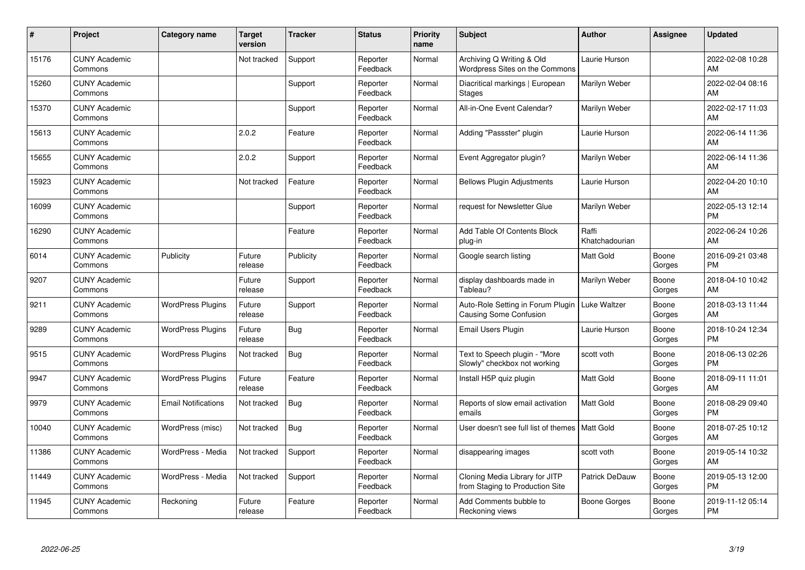| #     | Project                         | <b>Category name</b>       | <b>Target</b><br>version | <b>Tracker</b> | <b>Status</b>        | <b>Priority</b><br>name | <b>Subject</b>                                                     | Author                  | <b>Assignee</b> | <b>Updated</b>                |
|-------|---------------------------------|----------------------------|--------------------------|----------------|----------------------|-------------------------|--------------------------------------------------------------------|-------------------------|-----------------|-------------------------------|
| 15176 | <b>CUNY Academic</b><br>Commons |                            | Not tracked              | Support        | Reporter<br>Feedback | Normal                  | Archiving Q Writing & Old<br>Wordpress Sites on the Commons        | Laurie Hurson           |                 | 2022-02-08 10:28<br>AM        |
| 15260 | <b>CUNY Academic</b><br>Commons |                            |                          | Support        | Reporter<br>Feedback | Normal                  | Diacritical markings   European<br>Stages                          | Marilyn Weber           |                 | 2022-02-04 08:16<br>AM        |
| 15370 | <b>CUNY Academic</b><br>Commons |                            |                          | Support        | Reporter<br>Feedback | Normal                  | All-in-One Event Calendar?                                         | Marilyn Weber           |                 | 2022-02-17 11:03<br>AM        |
| 15613 | <b>CUNY Academic</b><br>Commons |                            | 2.0.2                    | Feature        | Reporter<br>Feedback | Normal                  | Adding "Passster" plugin                                           | Laurie Hurson           |                 | 2022-06-14 11:36<br>AM        |
| 15655 | <b>CUNY Academic</b><br>Commons |                            | 2.0.2                    | Support        | Reporter<br>Feedback | Normal                  | Event Aggregator plugin?                                           | Marilyn Weber           |                 | 2022-06-14 11:36<br>AM        |
| 15923 | <b>CUNY Academic</b><br>Commons |                            | Not tracked              | Feature        | Reporter<br>Feedback | Normal                  | <b>Bellows Plugin Adjustments</b>                                  | Laurie Hurson           |                 | 2022-04-20 10:10<br>AM        |
| 16099 | <b>CUNY Academic</b><br>Commons |                            |                          | Support        | Reporter<br>Feedback | Normal                  | request for Newsletter Glue                                        | Marilyn Weber           |                 | 2022-05-13 12:14<br><b>PM</b> |
| 16290 | <b>CUNY Academic</b><br>Commons |                            |                          | Feature        | Reporter<br>Feedback | Normal                  | Add Table Of Contents Block<br>plug-in                             | Raffi<br>Khatchadourian |                 | 2022-06-24 10:26<br>AM        |
| 6014  | <b>CUNY Academic</b><br>Commons | Publicity                  | Future<br>release        | Publicity      | Reporter<br>Feedback | Normal                  | Google search listing                                              | Matt Gold               | Boone<br>Gorges | 2016-09-21 03:48<br><b>PM</b> |
| 9207  | <b>CUNY Academic</b><br>Commons |                            | Future<br>release        | Support        | Reporter<br>Feedback | Normal                  | display dashboards made in<br>Tableau?                             | Marilyn Weber           | Boone<br>Gorges | 2018-04-10 10:42<br>AM        |
| 9211  | <b>CUNY Academic</b><br>Commons | <b>WordPress Plugins</b>   | Future<br>release        | Support        | Reporter<br>Feedback | Normal                  | Auto-Role Setting in Forum Plugin<br><b>Causing Some Confusion</b> | Luke Waltzer            | Boone<br>Gorges | 2018-03-13 11:44<br>AM        |
| 9289  | <b>CUNY Academic</b><br>Commons | <b>WordPress Plugins</b>   | Future<br>release        | <b>Bug</b>     | Reporter<br>Feedback | Normal                  | Email Users Plugin                                                 | Laurie Hurson           | Boone<br>Gorges | 2018-10-24 12:34<br><b>PM</b> |
| 9515  | <b>CUNY Academic</b><br>Commons | <b>WordPress Plugins</b>   | Not tracked              | <b>Bug</b>     | Reporter<br>Feedback | Normal                  | Text to Speech plugin - "More<br>Slowly" checkbox not working      | scott voth              | Boone<br>Gorges | 2018-06-13 02:26<br><b>PM</b> |
| 9947  | <b>CUNY Academic</b><br>Commons | <b>WordPress Plugins</b>   | Future<br>release        | Feature        | Reporter<br>Feedback | Normal                  | Install H5P quiz plugin                                            | <b>Matt Gold</b>        | Boone<br>Gorges | 2018-09-11 11:01<br>AM        |
| 9979  | <b>CUNY Academic</b><br>Commons | <b>Email Notifications</b> | Not tracked              | <b>Bug</b>     | Reporter<br>Feedback | Normal                  | Reports of slow email activation<br>emails                         | Matt Gold               | Boone<br>Gorges | 2018-08-29 09:40<br><b>PM</b> |
| 10040 | <b>CUNY Academic</b><br>Commons | WordPress (misc)           | Not tracked              | Bug            | Reporter<br>Feedback | Normal                  | User doesn't see full list of themes   Matt Gold                   |                         | Boone<br>Gorges | 2018-07-25 10:12<br>AM        |
| 11386 | <b>CUNY Academic</b><br>Commons | WordPress - Media          | Not tracked              | Support        | Reporter<br>Feedback | Normal                  | disappearing images                                                | scott voth              | Boone<br>Gorges | 2019-05-14 10:32<br>AM        |
| 11449 | <b>CUNY Academic</b><br>Commons | WordPress - Media          | Not tracked              | Support        | Reporter<br>Feedback | Normal                  | Cloning Media Library for JITP<br>from Staging to Production Site  | Patrick DeDauw          | Boone<br>Gorges | 2019-05-13 12:00<br><b>PM</b> |
| 11945 | <b>CUNY Academic</b><br>Commons | Reckoning                  | Future<br>release        | Feature        | Reporter<br>Feedback | Normal                  | Add Comments bubble to<br>Reckoning views                          | Boone Gorges            | Boone<br>Gorges | 2019-11-12 05:14<br><b>PM</b> |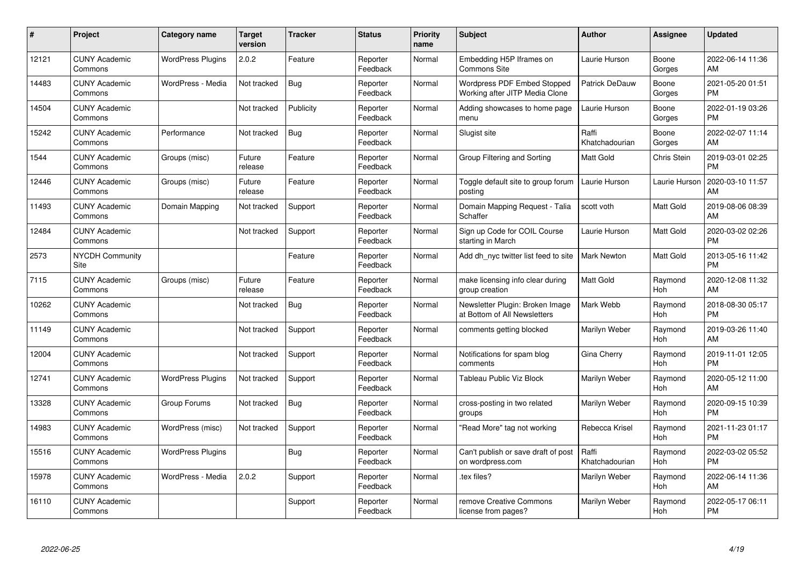| #     | Project                         | <b>Category name</b>     | Target<br>version | <b>Tracker</b> | <b>Status</b>        | <b>Priority</b><br>name | <b>Subject</b>                                                       | <b>Author</b>           | <b>Assignee</b>       | <b>Updated</b>                |
|-------|---------------------------------|--------------------------|-------------------|----------------|----------------------|-------------------------|----------------------------------------------------------------------|-------------------------|-----------------------|-------------------------------|
| 12121 | <b>CUNY Academic</b><br>Commons | <b>WordPress Plugins</b> | 2.0.2             | Feature        | Reporter<br>Feedback | Normal                  | Embedding H5P Iframes on<br>Commons Site                             | Laurie Hurson           | Boone<br>Gorges       | 2022-06-14 11:36<br>AM        |
| 14483 | <b>CUNY Academic</b><br>Commons | WordPress - Media        | Not tracked       | Bug            | Reporter<br>Feedback | Normal                  | <b>Wordpress PDF Embed Stopped</b><br>Working after JITP Media Clone | Patrick DeDauw          | Boone<br>Gorges       | 2021-05-20 01:51<br><b>PM</b> |
| 14504 | <b>CUNY Academic</b><br>Commons |                          | Not tracked       | Publicity      | Reporter<br>Feedback | Normal                  | Adding showcases to home page<br>menu                                | Laurie Hurson           | Boone<br>Gorges       | 2022-01-19 03:26<br><b>PM</b> |
| 15242 | <b>CUNY Academic</b><br>Commons | Performance              | Not tracked       | <b>Bug</b>     | Reporter<br>Feedback | Normal                  | Slugist site                                                         | Raffi<br>Khatchadourian | Boone<br>Gorges       | 2022-02-07 11:14<br>AM        |
| 1544  | <b>CUNY Academic</b><br>Commons | Groups (misc)            | Future<br>release | Feature        | Reporter<br>Feedback | Normal                  | Group Filtering and Sorting                                          | Matt Gold               | Chris Stein           | 2019-03-01 02:25<br><b>PM</b> |
| 12446 | <b>CUNY Academic</b><br>Commons | Groups (misc)            | Future<br>release | Feature        | Reporter<br>Feedback | Normal                  | Toggle default site to group forum<br>postina                        | Laurie Hurson           | Laurie Hurson         | 2020-03-10 11:57<br>AM        |
| 11493 | <b>CUNY Academic</b><br>Commons | Domain Mapping           | Not tracked       | Support        | Reporter<br>Feedback | Normal                  | Domain Mapping Request - Talia<br>Schaffer                           | scott voth              | <b>Matt Gold</b>      | 2019-08-06 08:39<br>AM        |
| 12484 | <b>CUNY Academic</b><br>Commons |                          | Not tracked       | Support        | Reporter<br>Feedback | Normal                  | Sign up Code for COIL Course<br>starting in March                    | Laurie Hurson           | Matt Gold             | 2020-03-02 02:26<br><b>PM</b> |
| 2573  | <b>NYCDH Community</b><br>Site  |                          |                   | Feature        | Reporter<br>Feedback | Normal                  | Add dh nyc twitter list feed to site                                 | <b>Mark Newton</b>      | <b>Matt Gold</b>      | 2013-05-16 11:42<br><b>PM</b> |
| 7115  | <b>CUNY Academic</b><br>Commons | Groups (misc)            | Future<br>release | Feature        | Reporter<br>Feedback | Normal                  | make licensing info clear during<br>group creation                   | <b>Matt Gold</b>        | Raymond<br>Hoh        | 2020-12-08 11:32<br>AM        |
| 10262 | <b>CUNY Academic</b><br>Commons |                          | Not tracked       | Bug            | Reporter<br>Feedback | Normal                  | Newsletter Plugin: Broken Image<br>at Bottom of All Newsletters      | Mark Webb               | Raymond<br><b>Hoh</b> | 2018-08-30 05:17<br><b>PM</b> |
| 11149 | <b>CUNY Academic</b><br>Commons |                          | Not tracked       | Support        | Reporter<br>Feedback | Normal                  | comments getting blocked                                             | Marilyn Weber           | Raymond<br>Hoh        | 2019-03-26 11:40<br>AM        |
| 12004 | <b>CUNY Academic</b><br>Commons |                          | Not tracked       | Support        | Reporter<br>Feedback | Normal                  | Notifications for spam blog<br>comments                              | Gina Cherry             | Raymond<br>Hoh        | 2019-11-01 12:05<br><b>PM</b> |
| 12741 | <b>CUNY Academic</b><br>Commons | <b>WordPress Plugins</b> | Not tracked       | Support        | Reporter<br>Feedback | Normal                  | Tableau Public Viz Block                                             | Marilyn Weber           | Raymond<br>Hoh        | 2020-05-12 11:00<br>AM        |
| 13328 | <b>CUNY Academic</b><br>Commons | Group Forums             | Not tracked       | Bug            | Reporter<br>Feedback | Normal                  | cross-posting in two related<br>groups                               | Marilyn Weber           | Raymond<br>Hoh        | 2020-09-15 10:39<br><b>PM</b> |
| 14983 | <b>CUNY Academic</b><br>Commons | WordPress (misc)         | Not tracked       | Support        | Reporter<br>Feedback | Normal                  | "Read More" tag not working                                          | Rebecca Krisel          | Raymond<br>Hoh        | 2021-11-23 01:17<br><b>PM</b> |
| 15516 | <b>CUNY Academic</b><br>Commons | <b>WordPress Plugins</b> |                   | Bug            | Reporter<br>Feedback | Normal                  | Can't publish or save draft of post<br>on wordpress.com              | Raffi<br>Khatchadourian | Raymond<br><b>Hoh</b> | 2022-03-02 05:52<br><b>PM</b> |
| 15978 | <b>CUNY Academic</b><br>Commons | WordPress - Media        | 2.0.2             | Support        | Reporter<br>Feedback | Normal                  | tex files?                                                           | Marilyn Weber           | Raymond<br>Hoh        | 2022-06-14 11:36<br>AM        |
| 16110 | <b>CUNY Academic</b><br>Commons |                          |                   | Support        | Reporter<br>Feedback | Normal                  | remove Creative Commons<br>license from pages?                       | Marilyn Weber           | Raymond<br>Hoh        | 2022-05-17 06:11<br>PM        |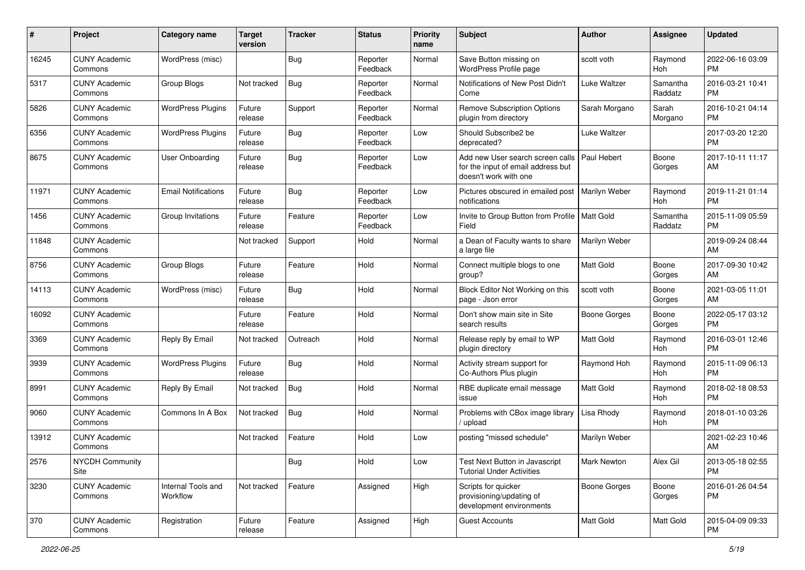| #     | Project                         | <b>Category name</b>           | <b>Target</b><br>version | <b>Tracker</b> | <b>Status</b>        | <b>Priority</b><br>name | Subject                                                                                                       | Author              | <b>Assignee</b>       | <b>Updated</b>                |
|-------|---------------------------------|--------------------------------|--------------------------|----------------|----------------------|-------------------------|---------------------------------------------------------------------------------------------------------------|---------------------|-----------------------|-------------------------------|
| 16245 | <b>CUNY Academic</b><br>Commons | WordPress (misc)               |                          | <b>Bug</b>     | Reporter<br>Feedback | Normal                  | Save Button missing on<br>WordPress Profile page                                                              | scott voth          | Raymond<br>Hoh        | 2022-06-16 03:09<br>PM        |
| 5317  | <b>CUNY Academic</b><br>Commons | Group Blogs                    | Not tracked              | Bug            | Reporter<br>Feedback | Normal                  | Notifications of New Post Didn't<br>Come                                                                      | Luke Waltzer        | Samantha<br>Raddatz   | 2016-03-21 10:41<br><b>PM</b> |
| 5826  | <b>CUNY Academic</b><br>Commons | <b>WordPress Plugins</b>       | Future<br>release        | Support        | Reporter<br>Feedback | Normal                  | <b>Remove Subscription Options</b><br>plugin from directory                                                   | Sarah Morgano       | Sarah<br>Morgano      | 2016-10-21 04:14<br><b>PM</b> |
| 6356  | <b>CUNY Academic</b><br>Commons | <b>WordPress Plugins</b>       | Future<br>release        | <b>Bug</b>     | Reporter<br>Feedback | Low                     | Should Subscribe2 be<br>deprecated?                                                                           | <b>Luke Waltzer</b> |                       | 2017-03-20 12:20<br><b>PM</b> |
| 8675  | <b>CUNY Academic</b><br>Commons | <b>User Onboarding</b>         | Future<br>release        | Bug            | Reporter<br>Feedback | Low                     | Add new User search screen calls   Paul Hebert<br>for the input of email address but<br>doesn't work with one |                     | Boone<br>Gorges       | 2017-10-11 11:17<br>AM        |
| 11971 | <b>CUNY Academic</b><br>Commons | <b>Email Notifications</b>     | Future<br>release        | Bug            | Reporter<br>Feedback | Low                     | Pictures obscured in emailed post<br>notifications                                                            | Marilyn Weber       | Raymond<br><b>Hoh</b> | 2019-11-21 01:14<br><b>PM</b> |
| 1456  | <b>CUNY Academic</b><br>Commons | Group Invitations              | Future<br>release        | Feature        | Reporter<br>Feedback | Low                     | Invite to Group Button from Profile   Matt Gold<br>Field                                                      |                     | Samantha<br>Raddatz   | 2015-11-09 05:59<br><b>PM</b> |
| 11848 | <b>CUNY Academic</b><br>Commons |                                | Not tracked              | Support        | Hold                 | Normal                  | a Dean of Faculty wants to share<br>a large file                                                              | Marilyn Weber       |                       | 2019-09-24 08:44<br>AM        |
| 8756  | <b>CUNY Academic</b><br>Commons | <b>Group Blogs</b>             | Future<br>release        | Feature        | Hold                 | Normal                  | Connect multiple blogs to one<br>group?                                                                       | <b>Matt Gold</b>    | Boone<br>Gorges       | 2017-09-30 10:42<br>AM        |
| 14113 | <b>CUNY Academic</b><br>Commons | WordPress (misc)               | Future<br>release        | Bug            | Hold                 | Normal                  | Block Editor Not Working on this<br>page - Json error                                                         | scott voth          | Boone<br>Gorges       | 2021-03-05 11:01<br>AM        |
| 16092 | <b>CUNY Academic</b><br>Commons |                                | Future<br>release        | Feature        | Hold                 | Normal                  | Don't show main site in Site<br>search results                                                                | <b>Boone Gorges</b> | Boone<br>Gorges       | 2022-05-17 03:12<br><b>PM</b> |
| 3369  | <b>CUNY Academic</b><br>Commons | Reply By Email                 | Not tracked              | Outreach       | Hold                 | Normal                  | Release reply by email to WP<br>plugin directory                                                              | Matt Gold           | Raymond<br>Hoh        | 2016-03-01 12:46<br><b>PM</b> |
| 3939  | <b>CUNY Academic</b><br>Commons | <b>WordPress Plugins</b>       | Future<br>release        | <b>Bug</b>     | Hold                 | Normal                  | Activity stream support for<br>Co-Authors Plus plugin                                                         | Raymond Hoh         | Raymond<br>Hoh        | 2015-11-09 06:13<br><b>PM</b> |
| 8991  | <b>CUNY Academic</b><br>Commons | Reply By Email                 | Not tracked              | Bug            | Hold                 | Normal                  | RBE duplicate email message<br>issue                                                                          | <b>Matt Gold</b>    | Raymond<br>Hoh        | 2018-02-18 08:53<br><b>PM</b> |
| 9060  | <b>CUNY Academic</b><br>Commons | Commons In A Box               | Not tracked              | <b>Bug</b>     | Hold                 | Normal                  | Problems with CBox image library<br>upload                                                                    | Lisa Rhody          | Raymond<br>Hoh        | 2018-01-10 03:26<br><b>PM</b> |
| 13912 | <b>CUNY Academic</b><br>Commons |                                | Not tracked              | Feature        | Hold                 | Low                     | posting "missed schedule"                                                                                     | Marilyn Weber       |                       | 2021-02-23 10:46<br>AM        |
| 2576  | <b>NYCDH Community</b><br>Site  |                                |                          | <b>Bug</b>     | Hold                 | Low                     | Test Next Button in Javascript<br><b>Tutorial Under Activities</b>                                            | <b>Mark Newton</b>  | Alex Gil              | 2013-05-18 02:55<br><b>PM</b> |
| 3230  | <b>CUNY Academic</b><br>Commons | Internal Tools and<br>Workflow | Not tracked              | Feature        | Assigned             | High                    | Scripts for quicker<br>provisioning/updating of<br>development environments                                   | Boone Gorges        | Boone<br>Gorges       | 2016-01-26 04:54<br>PM        |
| 370   | <b>CUNY Academic</b><br>Commons | Registration                   | Future<br>release        | Feature        | Assigned             | High                    | <b>Guest Accounts</b>                                                                                         | Matt Gold           | Matt Gold             | 2015-04-09 09:33<br><b>PM</b> |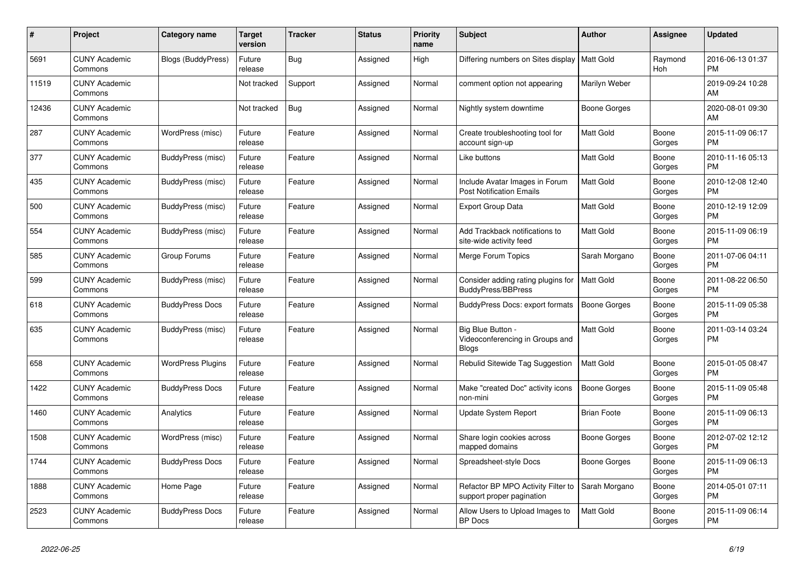| #     | Project                         | <b>Category name</b>      | Target<br>version | <b>Tracker</b> | <b>Status</b> | <b>Priority</b><br>name | <b>Subject</b>                                                       | <b>Author</b>       | <b>Assignee</b> | <b>Updated</b>                |
|-------|---------------------------------|---------------------------|-------------------|----------------|---------------|-------------------------|----------------------------------------------------------------------|---------------------|-----------------|-------------------------------|
| 5691  | <b>CUNY Academic</b><br>Commons | <b>Blogs (BuddyPress)</b> | Future<br>release | <b>Bug</b>     | Assigned      | High                    | Differing numbers on Sites display   Matt Gold                       |                     | Raymond<br>Hoh  | 2016-06-13 01:37<br><b>PM</b> |
| 11519 | <b>CUNY Academic</b><br>Commons |                           | Not tracked       | Support        | Assigned      | Normal                  | comment option not appearing                                         | Marilyn Weber       |                 | 2019-09-24 10:28<br>AM        |
| 12436 | <b>CUNY Academic</b><br>Commons |                           | Not tracked       | <b>Bug</b>     | Assigned      | Normal                  | Nightly system downtime                                              | Boone Gorges        |                 | 2020-08-01 09:30<br>AM        |
| 287   | <b>CUNY Academic</b><br>Commons | WordPress (misc)          | Future<br>release | Feature        | Assigned      | Normal                  | Create troubleshooting tool for<br>account sign-up                   | Matt Gold           | Boone<br>Gorges | 2015-11-09 06:17<br><b>PM</b> |
| 377   | <b>CUNY Academic</b><br>Commons | BuddyPress (misc)         | Future<br>release | Feature        | Assigned      | Normal                  | Like buttons                                                         | <b>Matt Gold</b>    | Boone<br>Gorges | 2010-11-16 05:13<br><b>PM</b> |
| 435   | <b>CUNY Academic</b><br>Commons | BuddyPress (misc)         | Future<br>release | Feature        | Assigned      | Normal                  | Include Avatar Images in Forum<br><b>Post Notification Emails</b>    | Matt Gold           | Boone<br>Gorges | 2010-12-08 12:40<br><b>PM</b> |
| 500   | <b>CUNY Academic</b><br>Commons | BuddyPress (misc)         | Future<br>release | Feature        | Assigned      | Normal                  | <b>Export Group Data</b>                                             | Matt Gold           | Boone<br>Gorges | 2010-12-19 12:09<br><b>PM</b> |
| 554   | <b>CUNY Academic</b><br>Commons | BuddyPress (misc)         | Future<br>release | Feature        | Assigned      | Normal                  | Add Trackback notifications to<br>site-wide activity feed            | <b>Matt Gold</b>    | Boone<br>Gorges | 2015-11-09 06:19<br><b>PM</b> |
| 585   | <b>CUNY Academic</b><br>Commons | Group Forums              | Future<br>release | Feature        | Assigned      | Normal                  | Merge Forum Topics                                                   | Sarah Morgano       | Boone<br>Gorges | 2011-07-06 04:11<br><b>PM</b> |
| 599   | <b>CUNY Academic</b><br>Commons | BuddyPress (misc)         | Future<br>release | Feature        | Assigned      | Normal                  | Consider adding rating plugins for<br><b>BuddyPress/BBPress</b>      | <b>Matt Gold</b>    | Boone<br>Gorges | 2011-08-22 06:50<br><b>PM</b> |
| 618   | <b>CUNY Academic</b><br>Commons | <b>BuddyPress Docs</b>    | Future<br>release | Feature        | Assigned      | Normal                  | BuddyPress Docs: export formats                                      | <b>Boone Gorges</b> | Boone<br>Gorges | 2015-11-09 05:38<br><b>PM</b> |
| 635   | <b>CUNY Academic</b><br>Commons | BuddyPress (misc)         | Future<br>release | Feature        | Assigned      | Normal                  | Big Blue Button -<br>Videoconferencing in Groups and<br><b>Blogs</b> | Matt Gold           | Boone<br>Gorges | 2011-03-14 03:24<br><b>PM</b> |
| 658   | <b>CUNY Academic</b><br>Commons | <b>WordPress Plugins</b>  | Future<br>release | Feature        | Assigned      | Normal                  | Rebulid Sitewide Tag Suggestion                                      | <b>Matt Gold</b>    | Boone<br>Gorges | 2015-01-05 08:47<br><b>PM</b> |
| 1422  | <b>CUNY Academic</b><br>Commons | <b>BuddyPress Docs</b>    | Future<br>release | Feature        | Assigned      | Normal                  | Make "created Doc" activity icons<br>non-mini                        | Boone Gorges        | Boone<br>Gorges | 2015-11-09 05:48<br><b>PM</b> |
| 1460  | <b>CUNY Academic</b><br>Commons | Analytics                 | Future<br>release | Feature        | Assigned      | Normal                  | <b>Update System Report</b>                                          | <b>Brian Foote</b>  | Boone<br>Gorges | 2015-11-09 06:13<br><b>PM</b> |
| 1508  | <b>CUNY Academic</b><br>Commons | WordPress (misc)          | Future<br>release | Feature        | Assigned      | Normal                  | Share login cookies across<br>mapped domains                         | Boone Gorges        | Boone<br>Gorges | 2012-07-02 12:12<br><b>PM</b> |
| 1744  | <b>CUNY Academic</b><br>Commons | <b>BuddyPress Docs</b>    | Future<br>release | Feature        | Assigned      | Normal                  | Spreadsheet-style Docs                                               | Boone Gorges        | Boone<br>Gorges | 2015-11-09 06:13<br><b>PM</b> |
| 1888  | <b>CUNY Academic</b><br>Commons | Home Page                 | Future<br>release | Feature        | Assigned      | Normal                  | Refactor BP MPO Activity Filter to<br>support proper pagination      | Sarah Morgano       | Boone<br>Gorges | 2014-05-01 07:11<br><b>PM</b> |
| 2523  | <b>CUNY Academic</b><br>Commons | <b>BuddyPress Docs</b>    | Future<br>release | Feature        | Assigned      | Normal                  | Allow Users to Upload Images to<br><b>BP</b> Docs                    | <b>Matt Gold</b>    | Boone<br>Gorges | 2015-11-09 06:14<br><b>PM</b> |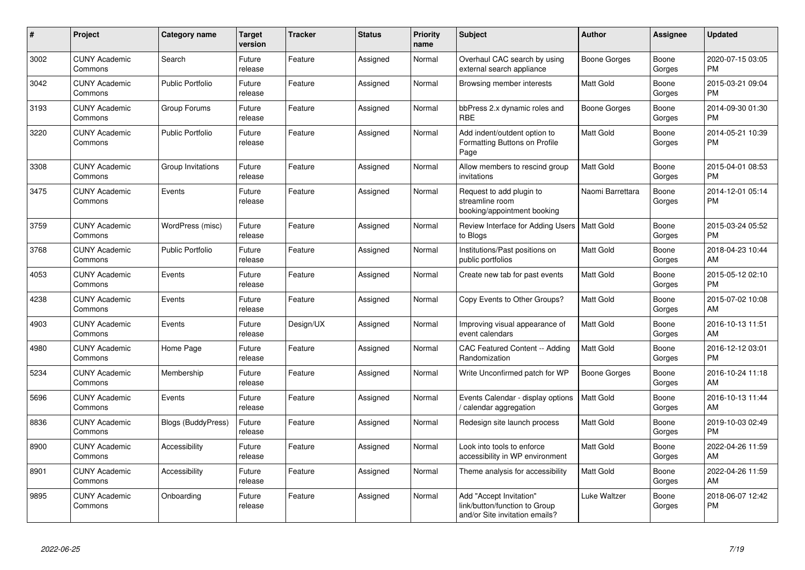| $\#$ | Project                         | Category name             | <b>Target</b><br>version | <b>Tracker</b> | <b>Status</b> | <b>Priority</b><br>name | <b>Subject</b>                                                                             | Author              | Assignee        | <b>Updated</b>                |
|------|---------------------------------|---------------------------|--------------------------|----------------|---------------|-------------------------|--------------------------------------------------------------------------------------------|---------------------|-----------------|-------------------------------|
| 3002 | <b>CUNY Academic</b><br>Commons | Search                    | Future<br>release        | Feature        | Assigned      | Normal                  | Overhaul CAC search by using<br>external search appliance                                  | Boone Gorges        | Boone<br>Gorges | 2020-07-15 03:05<br><b>PM</b> |
| 3042 | <b>CUNY Academic</b><br>Commons | <b>Public Portfolio</b>   | Future<br>release        | Feature        | Assigned      | Normal                  | Browsing member interests                                                                  | Matt Gold           | Boone<br>Gorges | 2015-03-21 09:04<br><b>PM</b> |
| 3193 | <b>CUNY Academic</b><br>Commons | Group Forums              | Future<br>release        | Feature        | Assigned      | Normal                  | bbPress 2.x dynamic roles and<br><b>RBE</b>                                                | Boone Gorges        | Boone<br>Gorges | 2014-09-30 01:30<br><b>PM</b> |
| 3220 | <b>CUNY Academic</b><br>Commons | <b>Public Portfolio</b>   | Future<br>release        | Feature        | Assigned      | Normal                  | Add indent/outdent option to<br>Formatting Buttons on Profile<br>Page                      | <b>Matt Gold</b>    | Boone<br>Gorges | 2014-05-21 10:39<br><b>PM</b> |
| 3308 | <b>CUNY Academic</b><br>Commons | Group Invitations         | Future<br>release        | Feature        | Assigned      | Normal                  | Allow members to rescind group<br>invitations                                              | <b>Matt Gold</b>    | Boone<br>Gorges | 2015-04-01 08:53<br><b>PM</b> |
| 3475 | <b>CUNY Academic</b><br>Commons | Events                    | Future<br>release        | Feature        | Assigned      | Normal                  | Request to add plugin to<br>streamline room<br>booking/appointment booking                 | Naomi Barrettara    | Boone<br>Gorges | 2014-12-01 05:14<br><b>PM</b> |
| 3759 | <b>CUNY Academic</b><br>Commons | WordPress (misc)          | Future<br>release        | Feature        | Assigned      | Normal                  | Review Interface for Adding Users<br>to Blogs                                              | <b>Matt Gold</b>    | Boone<br>Gorges | 2015-03-24 05:52<br><b>PM</b> |
| 3768 | <b>CUNY Academic</b><br>Commons | <b>Public Portfolio</b>   | Future<br>release        | Feature        | Assigned      | Normal                  | Institutions/Past positions on<br>public portfolios                                        | Matt Gold           | Boone<br>Gorges | 2018-04-23 10:44<br>AM        |
| 4053 | <b>CUNY Academic</b><br>Commons | Events                    | Future<br>release        | Feature        | Assigned      | Normal                  | Create new tab for past events                                                             | <b>Matt Gold</b>    | Boone<br>Gorges | 2015-05-12 02:10<br><b>PM</b> |
| 4238 | <b>CUNY Academic</b><br>Commons | Events                    | Future<br>release        | Feature        | Assigned      | Normal                  | Copy Events to Other Groups?                                                               | <b>Matt Gold</b>    | Boone<br>Gorges | 2015-07-02 10:08<br>AM        |
| 4903 | <b>CUNY Academic</b><br>Commons | Events                    | Future<br>release        | Design/UX      | Assigned      | Normal                  | Improving visual appearance of<br>event calendars                                          | <b>Matt Gold</b>    | Boone<br>Gorges | 2016-10-13 11:51<br>AM        |
| 4980 | <b>CUNY Academic</b><br>Commons | Home Page                 | Future<br>release        | Feature        | Assigned      | Normal                  | <b>CAC Featured Content -- Adding</b><br>Randomization                                     | <b>Matt Gold</b>    | Boone<br>Gorges | 2016-12-12 03:01<br><b>PM</b> |
| 5234 | <b>CUNY Academic</b><br>Commons | Membership                | Future<br>release        | Feature        | Assigned      | Normal                  | Write Unconfirmed patch for WP                                                             | <b>Boone Gorges</b> | Boone<br>Gorges | 2016-10-24 11:18<br>AM        |
| 5696 | <b>CUNY Academic</b><br>Commons | Events                    | Future<br>release        | Feature        | Assigned      | Normal                  | Events Calendar - display options<br>calendar aggregation                                  | <b>Matt Gold</b>    | Boone<br>Gorges | 2016-10-13 11:44<br>AM        |
| 8836 | <b>CUNY Academic</b><br>Commons | <b>Blogs (BuddyPress)</b> | Future<br>release        | Feature        | Assigned      | Normal                  | Redesign site launch process                                                               | <b>Matt Gold</b>    | Boone<br>Gorges | 2019-10-03 02:49<br><b>PM</b> |
| 8900 | <b>CUNY Academic</b><br>Commons | Accessibility             | Future<br>release        | Feature        | Assigned      | Normal                  | Look into tools to enforce<br>accessibility in WP environment                              | Matt Gold           | Boone<br>Gorges | 2022-04-26 11:59<br>AM        |
| 8901 | <b>CUNY Academic</b><br>Commons | Accessibility             | Future<br>release        | Feature        | Assigned      | Normal                  | Theme analysis for accessibility                                                           | Matt Gold           | Boone<br>Gorges | 2022-04-26 11:59<br>AM        |
| 9895 | <b>CUNY Academic</b><br>Commons | Onboarding                | Future<br>release        | Feature        | Assigned      | Normal                  | Add "Accept Invitation"<br>link/button/function to Group<br>and/or Site invitation emails? | Luke Waltzer        | Boone<br>Gorges | 2018-06-07 12:42<br><b>PM</b> |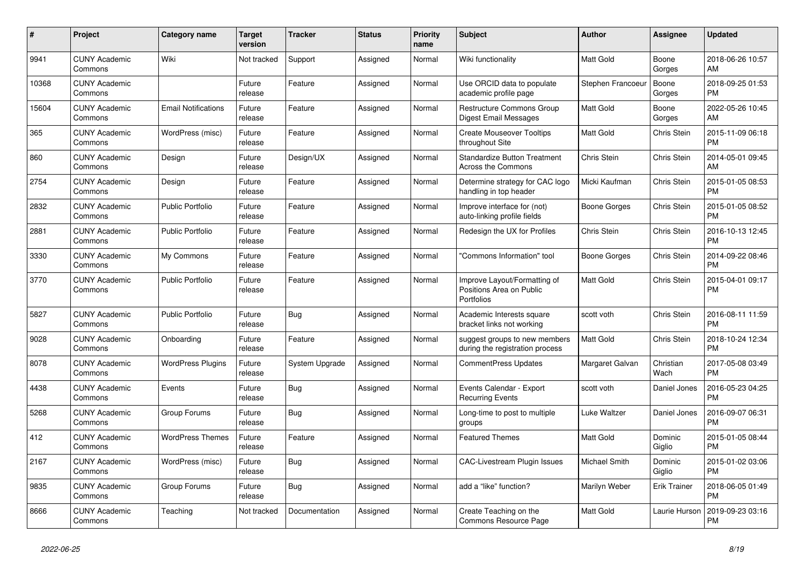| $\pmb{\#}$ | Project                         | Category name              | <b>Target</b><br>version | <b>Tracker</b> | <b>Status</b> | <b>Priority</b><br>name | <b>Subject</b>                                                         | <b>Author</b>        | <b>Assignee</b>     | <b>Updated</b>                |
|------------|---------------------------------|----------------------------|--------------------------|----------------|---------------|-------------------------|------------------------------------------------------------------------|----------------------|---------------------|-------------------------------|
| 9941       | <b>CUNY Academic</b><br>Commons | Wiki                       | Not tracked              | Support        | Assigned      | Normal                  | Wiki functionality                                                     | <b>Matt Gold</b>     | Boone<br>Gorges     | 2018-06-26 10:57<br>AM        |
| 10368      | <b>CUNY Academic</b><br>Commons |                            | Future<br>release        | Feature        | Assigned      | Normal                  | Use ORCID data to populate<br>academic profile page                    | Stephen Francoeur    | Boone<br>Gorges     | 2018-09-25 01:53<br><b>PM</b> |
| 15604      | <b>CUNY Academic</b><br>Commons | <b>Email Notifications</b> | Future<br>release        | Feature        | Assigned      | Normal                  | Restructure Commons Group<br>Digest Email Messages                     | Matt Gold            | Boone<br>Gorges     | 2022-05-26 10:45<br>AM        |
| 365        | <b>CUNY Academic</b><br>Commons | WordPress (misc)           | Future<br>release        | Feature        | Assigned      | Normal                  | <b>Create Mouseover Tooltips</b><br>throughout Site                    | <b>Matt Gold</b>     | Chris Stein         | 2015-11-09 06:18<br><b>PM</b> |
| 860        | <b>CUNY Academic</b><br>Commons | Design                     | Future<br>release        | Design/UX      | Assigned      | Normal                  | <b>Standardize Button Treatment</b><br>Across the Commons              | Chris Stein          | Chris Stein         | 2014-05-01 09:45<br>AM        |
| 2754       | <b>CUNY Academic</b><br>Commons | Design                     | Future<br>release        | Feature        | Assigned      | Normal                  | Determine strategy for CAC logo<br>handling in top header              | Micki Kaufman        | Chris Stein         | 2015-01-05 08:53<br><b>PM</b> |
| 2832       | <b>CUNY Academic</b><br>Commons | <b>Public Portfolio</b>    | Future<br>release        | Feature        | Assigned      | Normal                  | Improve interface for (not)<br>auto-linking profile fields             | Boone Gorges         | Chris Stein         | 2015-01-05 08:52<br><b>PM</b> |
| 2881       | <b>CUNY Academic</b><br>Commons | Public Portfolio           | Future<br>release        | Feature        | Assigned      | Normal                  | Redesign the UX for Profiles                                           | Chris Stein          | Chris Stein         | 2016-10-13 12:45<br><b>PM</b> |
| 3330       | <b>CUNY Academic</b><br>Commons | My Commons                 | Future<br>release        | Feature        | Assigned      | Normal                  | 'Commons Information" tool                                             | Boone Gorges         | Chris Stein         | 2014-09-22 08:46<br><b>PM</b> |
| 3770       | <b>CUNY Academic</b><br>Commons | <b>Public Portfolio</b>    | Future<br>release        | Feature        | Assigned      | Normal                  | Improve Layout/Formatting of<br>Positions Area on Public<br>Portfolios | <b>Matt Gold</b>     | Chris Stein         | 2015-04-01 09:17<br><b>PM</b> |
| 5827       | <b>CUNY Academic</b><br>Commons | <b>Public Portfolio</b>    | Future<br>release        | Bug            | Assigned      | Normal                  | Academic Interests square<br>bracket links not working                 | scott voth           | Chris Stein         | 2016-08-11 11:59<br><b>PM</b> |
| 9028       | <b>CUNY Academic</b><br>Commons | Onboarding                 | Future<br>release        | Feature        | Assigned      | Normal                  | suggest groups to new members<br>during the registration process       | <b>Matt Gold</b>     | <b>Chris Stein</b>  | 2018-10-24 12:34<br><b>PM</b> |
| 8078       | <b>CUNY Academic</b><br>Commons | <b>WordPress Plugins</b>   | Future<br>release        | System Upgrade | Assigned      | Normal                  | CommentPress Updates                                                   | Margaret Galvan      | Christian<br>Wach   | 2017-05-08 03:49<br><b>PM</b> |
| 4438       | <b>CUNY Academic</b><br>Commons | Events                     | Future<br>release        | <b>Bug</b>     | Assigned      | Normal                  | Events Calendar - Export<br><b>Recurring Events</b>                    | scott voth           | Daniel Jones        | 2016-05-23 04:25<br><b>PM</b> |
| 5268       | <b>CUNY Academic</b><br>Commons | Group Forums               | Future<br>release        | <b>Bug</b>     | Assigned      | Normal                  | Long-time to post to multiple<br>groups                                | Luke Waltzer         | Daniel Jones        | 2016-09-07 06:31<br><b>PM</b> |
| 412        | <b>CUNY Academic</b><br>Commons | <b>WordPress Themes</b>    | Future<br>release        | Feature        | Assigned      | Normal                  | <b>Featured Themes</b>                                                 | <b>Matt Gold</b>     | Dominic<br>Giglio   | 2015-01-05 08:44<br><b>PM</b> |
| 2167       | <b>CUNY Academic</b><br>Commons | WordPress (misc)           | Future<br>release        | Bug            | Assigned      | Normal                  | <b>CAC-Livestream Plugin Issues</b>                                    | <b>Michael Smith</b> | Dominic<br>Giglio   | 2015-01-02 03:06<br><b>PM</b> |
| 9835       | <b>CUNY Academic</b><br>Commons | Group Forums               | Future<br>release        | <b>Bug</b>     | Assigned      | Normal                  | add a "like" function?                                                 | Marilyn Weber        | <b>Erik Trainer</b> | 2018-06-05 01:49<br><b>PM</b> |
| 8666       | <b>CUNY Academic</b><br>Commons | Teaching                   | Not tracked              | Documentation  | Assigned      | Normal                  | Create Teaching on the<br>Commons Resource Page                        | <b>Matt Gold</b>     | Laurie Hurson       | 2019-09-23 03:16<br><b>PM</b> |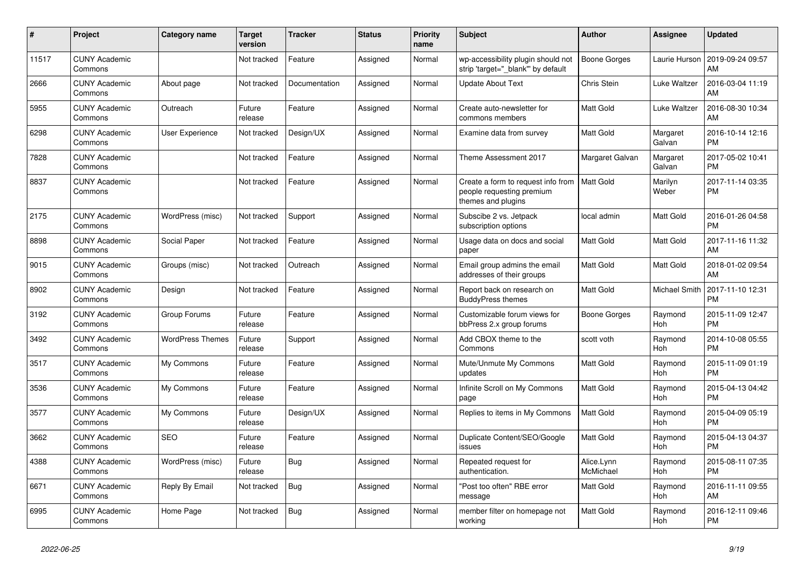| #     | <b>Project</b>                  | <b>Category name</b>    | <b>Target</b><br>version | <b>Tracker</b> | <b>Status</b> | <b>Priority</b><br>name | <b>Subject</b>                                                                        | <b>Author</b>           | Assignee              | <b>Updated</b>                |
|-------|---------------------------------|-------------------------|--------------------------|----------------|---------------|-------------------------|---------------------------------------------------------------------------------------|-------------------------|-----------------------|-------------------------------|
| 11517 | <b>CUNY Academic</b><br>Commons |                         | Not tracked              | Feature        | Assigned      | Normal                  | wp-accessibility plugin should not<br>strip 'target=" blank" by default               | <b>Boone Gorges</b>     | Laurie Hurson         | 2019-09-24 09:57<br>AM        |
| 2666  | <b>CUNY Academic</b><br>Commons | About page              | Not tracked              | Documentation  | Assigned      | Normal                  | <b>Update About Text</b>                                                              | <b>Chris Stein</b>      | Luke Waltzer          | 2016-03-04 11:19<br>AM        |
| 5955  | <b>CUNY Academic</b><br>Commons | Outreach                | Future<br>release        | Feature        | Assigned      | Normal                  | Create auto-newsletter for<br>commons members                                         | Matt Gold               | Luke Waltzer          | 2016-08-30 10:34<br>AM        |
| 6298  | <b>CUNY Academic</b><br>Commons | User Experience         | Not tracked              | Design/UX      | Assigned      | Normal                  | Examine data from survey                                                              | Matt Gold               | Margaret<br>Galvan    | 2016-10-14 12:16<br><b>PM</b> |
| 7828  | <b>CUNY Academic</b><br>Commons |                         | Not tracked              | Feature        | Assigned      | Normal                  | Theme Assessment 2017                                                                 | Margaret Galvan         | Margaret<br>Galvan    | 2017-05-02 10:41<br><b>PM</b> |
| 8837  | <b>CUNY Academic</b><br>Commons |                         | Not tracked              | Feature        | Assigned      | Normal                  | Create a form to request info from<br>people requesting premium<br>themes and plugins | Matt Gold               | Marilyn<br>Weber      | 2017-11-14 03:35<br><b>PM</b> |
| 2175  | <b>CUNY Academic</b><br>Commons | WordPress (misc)        | Not tracked              | Support        | Assigned      | Normal                  | Subscibe 2 vs. Jetpack<br>subscription options                                        | local admin             | Matt Gold             | 2016-01-26 04:58<br><b>PM</b> |
| 8898  | <b>CUNY Academic</b><br>Commons | Social Paper            | Not tracked              | Feature        | Assigned      | Normal                  | Usage data on docs and social<br>paper                                                | <b>Matt Gold</b>        | Matt Gold             | 2017-11-16 11:32<br>AM        |
| 9015  | <b>CUNY Academic</b><br>Commons | Groups (misc)           | Not tracked              | Outreach       | Assigned      | Normal                  | Email group admins the email<br>addresses of their groups                             | <b>Matt Gold</b>        | <b>Matt Gold</b>      | 2018-01-02 09:54<br>AM        |
| 8902  | <b>CUNY Academic</b><br>Commons | Design                  | Not tracked              | Feature        | Assigned      | Normal                  | Report back on research on<br><b>BuddyPress themes</b>                                | <b>Matt Gold</b>        | Michael Smith         | 2017-11-10 12:31<br><b>PM</b> |
| 3192  | <b>CUNY Academic</b><br>Commons | Group Forums            | Future<br>release        | Feature        | Assigned      | Normal                  | Customizable forum views for<br>bbPress 2.x group forums                              | Boone Gorges            | Raymond<br><b>Hoh</b> | 2015-11-09 12:47<br><b>PM</b> |
| 3492  | <b>CUNY Academic</b><br>Commons | <b>WordPress Themes</b> | Future<br>release        | Support        | Assigned      | Normal                  | Add CBOX theme to the<br>Commons                                                      | scott voth              | Raymond<br><b>Hoh</b> | 2014-10-08 05:55<br><b>PM</b> |
| 3517  | <b>CUNY Academic</b><br>Commons | My Commons              | Future<br>release        | Feature        | Assigned      | Normal                  | Mute/Unmute My Commons<br>updates                                                     | Matt Gold               | Raymond<br>Hoh        | 2015-11-09 01:19<br><b>PM</b> |
| 3536  | <b>CUNY Academic</b><br>Commons | My Commons              | Future<br>release        | Feature        | Assigned      | Normal                  | Infinite Scroll on My Commons<br>page                                                 | Matt Gold               | Raymond<br>Hoh        | 2015-04-13 04:42<br><b>PM</b> |
| 3577  | <b>CUNY Academic</b><br>Commons | My Commons              | Future<br>release        | Design/UX      | Assigned      | Normal                  | Replies to items in My Commons                                                        | <b>Matt Gold</b>        | Raymond<br><b>Hoh</b> | 2015-04-09 05:19<br><b>PM</b> |
| 3662  | <b>CUNY Academic</b><br>Commons | <b>SEO</b>              | Future<br>release        | Feature        | Assigned      | Normal                  | Duplicate Content/SEO/Google<br>issues                                                | Matt Gold               | Raymond<br>Hoh        | 2015-04-13 04:37<br><b>PM</b> |
| 4388  | <b>CUNY Academic</b><br>Commons | WordPress (misc)        | Future<br>release        | <b>Bug</b>     | Assigned      | Normal                  | Repeated request for<br>authentication.                                               | Alice.Lynn<br>McMichael | Raymond<br>Hoh        | 2015-08-11 07:35<br><b>PM</b> |
| 6671  | <b>CUNY Academic</b><br>Commons | Reply By Email          | Not tracked              | <b>Bug</b>     | Assigned      | Normal                  | "Post too often" RBE error<br>message                                                 | Matt Gold               | Raymond<br>Hoh        | 2016-11-11 09:55<br>AM        |
| 6995  | <b>CUNY Academic</b><br>Commons | Home Page               | Not tracked              | <b>Bug</b>     | Assigned      | Normal                  | member filter on homepage not<br>working                                              | <b>Matt Gold</b>        | Raymond<br>Hoh        | 2016-12-11 09:46<br><b>PM</b> |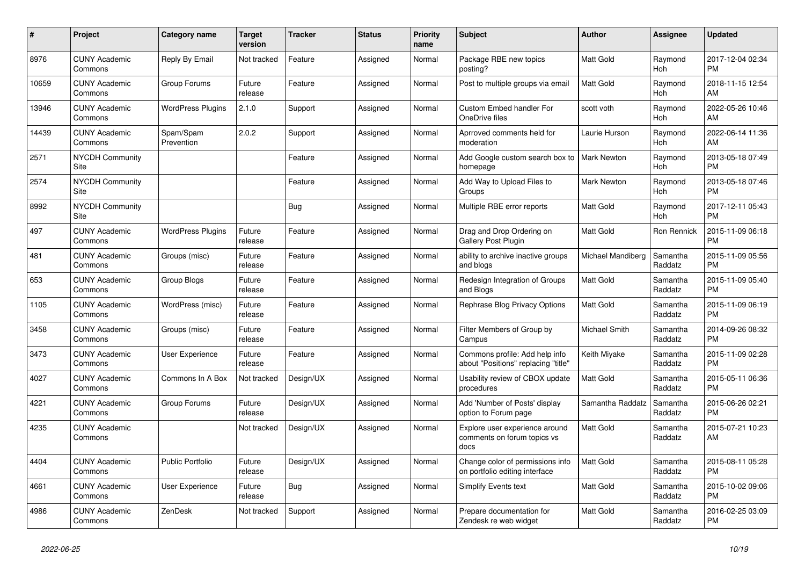| $\pmb{\#}$ | <b>Project</b>                  | Category name            | <b>Target</b><br>version | <b>Tracker</b> | <b>Status</b> | <b>Priority</b><br>name | <b>Subject</b>                                                        | <b>Author</b>        | <b>Assignee</b>       | <b>Updated</b>                |
|------------|---------------------------------|--------------------------|--------------------------|----------------|---------------|-------------------------|-----------------------------------------------------------------------|----------------------|-----------------------|-------------------------------|
| 8976       | <b>CUNY Academic</b><br>Commons | Reply By Email           | Not tracked              | Feature        | Assigned      | Normal                  | Package RBE new topics<br>posting?                                    | <b>Matt Gold</b>     | Raymond<br><b>Hoh</b> | 2017-12-04 02:34<br><b>PM</b> |
| 10659      | <b>CUNY Academic</b><br>Commons | Group Forums             | Future<br>release        | Feature        | Assigned      | Normal                  | Post to multiple groups via email                                     | <b>Matt Gold</b>     | Raymond<br>Hoh        | 2018-11-15 12:54<br>AM        |
| 13946      | <b>CUNY Academic</b><br>Commons | <b>WordPress Plugins</b> | 2.1.0                    | Support        | Assigned      | Normal                  | <b>Custom Embed handler For</b><br>OneDrive files                     | scott voth           | Raymond<br>Hoh        | 2022-05-26 10:46<br>AM        |
| 14439      | <b>CUNY Academic</b><br>Commons | Spam/Spam<br>Prevention  | 2.0.2                    | Support        | Assigned      | Normal                  | Aprroved comments held for<br>moderation                              | Laurie Hurson        | Raymond<br>Hoh        | 2022-06-14 11:36<br>AM        |
| 2571       | <b>NYCDH Community</b><br>Site  |                          |                          | Feature        | Assigned      | Normal                  | Add Google custom search box to<br>homepage                           | <b>Mark Newton</b>   | Raymond<br>Hoh        | 2013-05-18 07:49<br><b>PM</b> |
| 2574       | <b>NYCDH Community</b><br>Site  |                          |                          | Feature        | Assigned      | Normal                  | Add Way to Upload Files to<br>Groups                                  | Mark Newton          | Raymond<br><b>Hoh</b> | 2013-05-18 07:46<br><b>PM</b> |
| 8992       | <b>NYCDH Community</b><br>Site  |                          |                          | <b>Bug</b>     | Assigned      | Normal                  | Multiple RBE error reports                                            | <b>Matt Gold</b>     | Raymond<br>Hoh        | 2017-12-11 05:43<br><b>PM</b> |
| 497        | <b>CUNY Academic</b><br>Commons | <b>WordPress Plugins</b> | Future<br>release        | Feature        | Assigned      | Normal                  | Drag and Drop Ordering on<br><b>Gallery Post Plugin</b>               | <b>Matt Gold</b>     | Ron Rennick           | 2015-11-09 06:18<br><b>PM</b> |
| 481        | <b>CUNY Academic</b><br>Commons | Groups (misc)            | Future<br>release        | Feature        | Assigned      | Normal                  | ability to archive inactive groups<br>and blogs                       | Michael Mandiberg    | Samantha<br>Raddatz   | 2015-11-09 05:56<br><b>PM</b> |
| 653        | <b>CUNY Academic</b><br>Commons | Group Blogs              | Future<br>release        | Feature        | Assigned      | Normal                  | Redesign Integration of Groups<br>and Blogs                           | <b>Matt Gold</b>     | Samantha<br>Raddatz   | 2015-11-09 05:40<br><b>PM</b> |
| 1105       | <b>CUNY Academic</b><br>Commons | WordPress (misc)         | Future<br>release        | Feature        | Assigned      | Normal                  | Rephrase Blog Privacy Options                                         | <b>Matt Gold</b>     | Samantha<br>Raddatz   | 2015-11-09 06:19<br><b>PM</b> |
| 3458       | <b>CUNY Academic</b><br>Commons | Groups (misc)            | Future<br>release        | Feature        | Assigned      | Normal                  | Filter Members of Group by<br>Campus                                  | <b>Michael Smith</b> | Samantha<br>Raddatz   | 2014-09-26 08:32<br><b>PM</b> |
| 3473       | <b>CUNY Academic</b><br>Commons | User Experience          | Future<br>release        | Feature        | Assigned      | Normal                  | Commons profile: Add help info<br>about "Positions" replacing "title" | Keith Miyake         | Samantha<br>Raddatz   | 2015-11-09 02:28<br><b>PM</b> |
| 4027       | <b>CUNY Academic</b><br>Commons | Commons In A Box         | Not tracked              | Design/UX      | Assigned      | Normal                  | Usability review of CBOX update<br>procedures                         | <b>Matt Gold</b>     | Samantha<br>Raddatz   | 2015-05-11 06:36<br><b>PM</b> |
| 4221       | <b>CUNY Academic</b><br>Commons | Group Forums             | Future<br>release        | Design/UX      | Assigned      | Normal                  | Add 'Number of Posts' display<br>option to Forum page                 | Samantha Raddatz     | Samantha<br>Raddatz   | 2015-06-26 02:21<br><b>PM</b> |
| 4235       | <b>CUNY Academic</b><br>Commons |                          | Not tracked              | Design/UX      | Assigned      | Normal                  | Explore user experience around<br>comments on forum topics vs<br>docs | <b>Matt Gold</b>     | Samantha<br>Raddatz   | 2015-07-21 10:23<br>AM        |
| 4404       | <b>CUNY Academic</b><br>Commons | <b>Public Portfolio</b>  | Future<br>release        | Design/UX      | Assigned      | Normal                  | Change color of permissions info<br>on portfolio editing interface    | <b>Matt Gold</b>     | Samantha<br>Raddatz   | 2015-08-11 05:28<br><b>PM</b> |
| 4661       | <b>CUNY Academic</b><br>Commons | <b>User Experience</b>   | Future<br>release        | <b>Bug</b>     | Assigned      | Normal                  | <b>Simplify Events text</b>                                           | <b>Matt Gold</b>     | Samantha<br>Raddatz   | 2015-10-02 09:06<br><b>PM</b> |
| 4986       | <b>CUNY Academic</b><br>Commons | ZenDesk                  | Not tracked              | Support        | Assigned      | Normal                  | Prepare documentation for<br>Zendesk re web widget                    | <b>Matt Gold</b>     | Samantha<br>Raddatz   | 2016-02-25 03:09<br><b>PM</b> |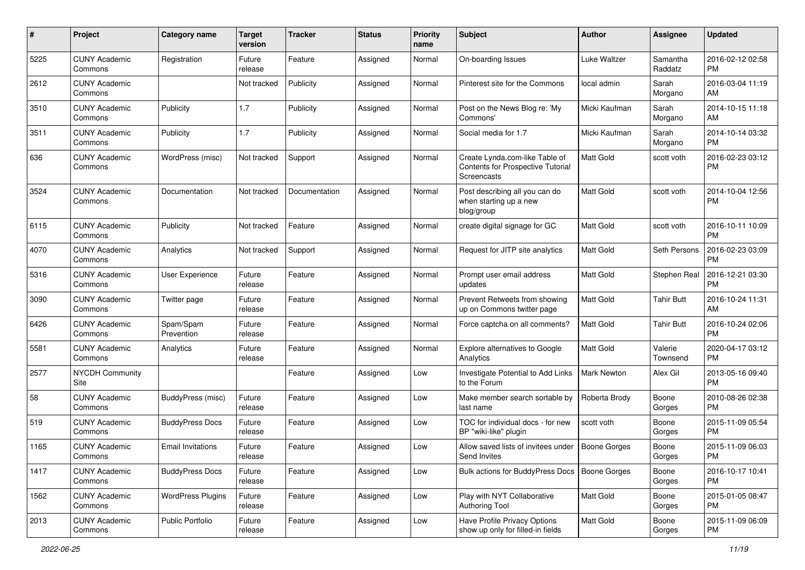| #    | Project                         | <b>Category name</b>     | <b>Target</b><br>version | <b>Tracker</b> | <b>Status</b> | <b>Priority</b><br>name | <b>Subject</b>                                                                     | Author           | Assignee            | <b>Updated</b>                |
|------|---------------------------------|--------------------------|--------------------------|----------------|---------------|-------------------------|------------------------------------------------------------------------------------|------------------|---------------------|-------------------------------|
| 5225 | <b>CUNY Academic</b><br>Commons | Registration             | Future<br>release        | Feature        | Assigned      | Normal                  | On-boarding Issues                                                                 | Luke Waltzer     | Samantha<br>Raddatz | 2016-02-12 02:58<br><b>PM</b> |
| 2612 | <b>CUNY Academic</b><br>Commons |                          | Not tracked              | Publicity      | Assigned      | Normal                  | Pinterest site for the Commons                                                     | local admin      | Sarah<br>Morgano    | 2016-03-04 11:19<br>AM        |
| 3510 | <b>CUNY Academic</b><br>Commons | Publicity                | 1.7                      | Publicity      | Assigned      | Normal                  | Post on the News Blog re: 'My<br>Commons'                                          | Micki Kaufman    | Sarah<br>Morgano    | 2014-10-15 11:18<br>AM        |
| 3511 | <b>CUNY Academic</b><br>Commons | Publicity                | 1.7                      | Publicity      | Assigned      | Normal                  | Social media for 1.7                                                               | Micki Kaufman    | Sarah<br>Morgano    | 2014-10-14 03:32<br><b>PM</b> |
| 636  | <b>CUNY Academic</b><br>Commons | WordPress (misc)         | Not tracked              | Support        | Assigned      | Normal                  | Create Lynda.com-like Table of<br>Contents for Prospective Tutorial<br>Screencasts | <b>Matt Gold</b> | scott voth          | 2016-02-23 03:12<br><b>PM</b> |
| 3524 | <b>CUNY Academic</b><br>Commons | Documentation            | Not tracked              | Documentation  | Assigned      | Normal                  | Post describing all you can do<br>when starting up a new<br>blog/group             | <b>Matt Gold</b> | scott voth          | 2014-10-04 12:56<br><b>PM</b> |
| 6115 | <b>CUNY Academic</b><br>Commons | Publicity                | Not tracked              | Feature        | Assigned      | Normal                  | create digital signage for GC                                                      | <b>Matt Gold</b> | scott voth          | 2016-10-11 10:09<br><b>PM</b> |
| 4070 | <b>CUNY Academic</b><br>Commons | Analytics                | Not tracked              | Support        | Assigned      | Normal                  | Request for JITP site analytics                                                    | Matt Gold        | Seth Persons        | 2016-02-23 03:09<br>PM        |
| 5316 | <b>CUNY Academic</b><br>Commons | User Experience          | Future<br>release        | Feature        | Assigned      | Normal                  | Prompt user email address<br>updates                                               | Matt Gold        | Stephen Real        | 2016-12-21 03:30<br><b>PM</b> |
| 3090 | <b>CUNY Academic</b><br>Commons | Twitter page             | Future<br>release        | Feature        | Assigned      | Normal                  | Prevent Retweets from showing<br>up on Commons twitter page                        | <b>Matt Gold</b> | <b>Tahir Butt</b>   | 2016-10-24 11:31<br>AM        |
| 6426 | <b>CUNY Academic</b><br>Commons | Spam/Spam<br>Prevention  | Future<br>release        | Feature        | Assigned      | Normal                  | Force captcha on all comments?                                                     | Matt Gold        | <b>Tahir Butt</b>   | 2016-10-24 02:06<br><b>PM</b> |
| 5581 | <b>CUNY Academic</b><br>Commons | Analytics                | Future<br>release        | Feature        | Assigned      | Normal                  | Explore alternatives to Google<br>Analytics                                        | Matt Gold        | Valerie<br>Townsend | 2020-04-17 03:12<br><b>PM</b> |
| 2577 | <b>NYCDH Community</b><br>Site  |                          |                          | Feature        | Assigned      | Low                     | Investigate Potential to Add Links<br>to the Forum                                 | Mark Newton      | Alex Gil            | 2013-05-16 09:40<br><b>PM</b> |
| 58   | <b>CUNY Academic</b><br>Commons | BuddyPress (misc)        | Future<br>release        | Feature        | Assigned      | Low                     | Make member search sortable by<br>last name                                        | Roberta Brody    | Boone<br>Gorges     | 2010-08-26 02:38<br><b>PM</b> |
| 519  | <b>CUNY Academic</b><br>Commons | <b>BuddyPress Docs</b>   | Future<br>release        | Feature        | Assigned      | Low                     | TOC for individual docs - for new<br>BP "wiki-like" plugin                         | scott voth       | Boone<br>Gorges     | 2015-11-09 05:54<br><b>PM</b> |
| 1165 | <b>CUNY Academic</b><br>Commons | <b>Email Invitations</b> | Future<br>release        | Feature        | Assigned      | Low                     | Allow saved lists of invitees under<br>Send Invites                                | Boone Gorges     | Boone<br>Gorges     | 2015-11-09 06:03<br>PM        |
| 1417 | <b>CUNY Academic</b><br>Commons | <b>BuddyPress Docs</b>   | Future<br>release        | Feature        | Assigned      | Low                     | Bulk actions for BuddyPress Docs   Boone Gorges                                    |                  | Boone<br>Gorges     | 2016-10-17 10:41<br><b>PM</b> |
| 1562 | <b>CUNY Academic</b><br>Commons | <b>WordPress Plugins</b> | Future<br>release        | Feature        | Assigned      | Low                     | Play with NYT Collaborative<br>Authoring Tool                                      | Matt Gold        | Boone<br>Gorges     | 2015-01-05 08:47<br><b>PM</b> |
| 2013 | <b>CUNY Academic</b><br>Commons | Public Portfolio         | Future<br>release        | Feature        | Assigned      | Low                     | Have Profile Privacy Options<br>show up only for filled-in fields                  | Matt Gold        | Boone<br>Gorges     | 2015-11-09 06:09<br>PM        |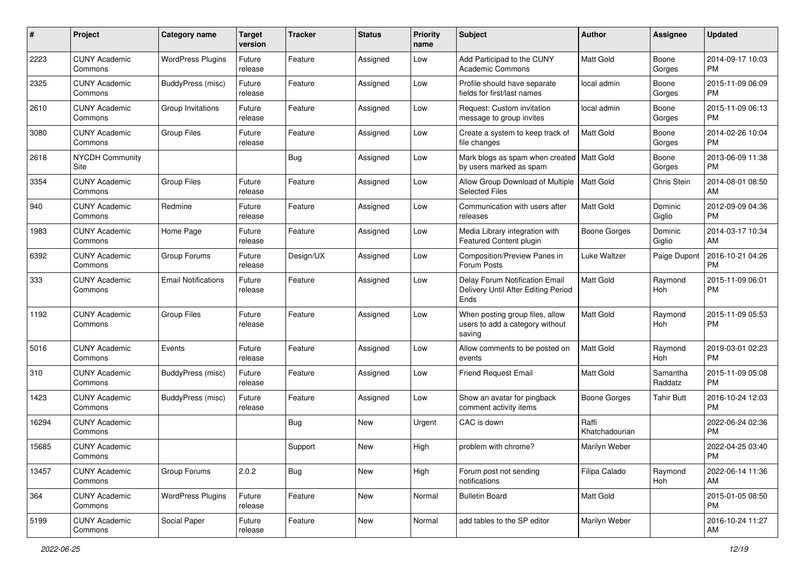| #     | Project                         | <b>Category name</b>       | <b>Target</b><br>version | <b>Tracker</b> | <b>Status</b> | <b>Priority</b><br>name | <b>Subject</b>                                                                | Author                  | Assignee            | <b>Updated</b>                |
|-------|---------------------------------|----------------------------|--------------------------|----------------|---------------|-------------------------|-------------------------------------------------------------------------------|-------------------------|---------------------|-------------------------------|
| 2223  | <b>CUNY Academic</b><br>Commons | <b>WordPress Plugins</b>   | Future<br>release        | Feature        | Assigned      | Low                     | Add Participad to the CUNY<br><b>Academic Commons</b>                         | <b>Matt Gold</b>        | Boone<br>Gorges     | 2014-09-17 10:03<br><b>PM</b> |
| 2325  | <b>CUNY Academic</b><br>Commons | BuddyPress (misc)          | Future<br>release        | Feature        | Assigned      | Low                     | Profile should have separate<br>fields for first/last names                   | local admin             | Boone<br>Gorges     | 2015-11-09 06:09<br><b>PM</b> |
| 2610  | <b>CUNY Academic</b><br>Commons | Group Invitations          | Future<br>release        | Feature        | Assigned      | Low                     | Request: Custom invitation<br>message to group invites                        | local admin             | Boone<br>Gorges     | 2015-11-09 06:13<br><b>PM</b> |
| 3080  | <b>CUNY Academic</b><br>Commons | <b>Group Files</b>         | Future<br>release        | Feature        | Assigned      | Low                     | Create a system to keep track of<br>file changes                              | <b>Matt Gold</b>        | Boone<br>Gorges     | 2014-02-26 10:04<br><b>PM</b> |
| 2618  | <b>NYCDH Community</b><br>Site  |                            |                          | Bug            | Assigned      | Low                     | Mark blogs as spam when created   Matt Gold<br>by users marked as spam        |                         | Boone<br>Gorges     | 2013-06-09 11:38<br><b>PM</b> |
| 3354  | <b>CUNY Academic</b><br>Commons | <b>Group Files</b>         | Future<br>release        | Feature        | Assigned      | Low                     | Allow Group Download of Multiple<br><b>Selected Files</b>                     | <b>Matt Gold</b>        | Chris Stein         | 2014-08-01 08:50<br>AM        |
| 940   | <b>CUNY Academic</b><br>Commons | Redmine                    | Future<br>release        | Feature        | Assigned      | Low                     | Communication with users after<br>releases                                    | Matt Gold               | Dominic<br>Giglio   | 2012-09-09 04:36<br><b>PM</b> |
| 1983  | <b>CUNY Academic</b><br>Commons | Home Page                  | Future<br>release        | Feature        | Assigned      | Low                     | Media Library integration with<br>Featured Content plugin                     | <b>Boone Gorges</b>     | Dominic<br>Giglio   | 2014-03-17 10:34<br>AM        |
| 6392  | <b>CUNY Academic</b><br>Commons | Group Forums               | Future<br>release        | Design/UX      | Assigned      | Low                     | Composition/Preview Panes in<br>Forum Posts                                   | <b>Luke Waltzer</b>     | Paige Dupont        | 2016-10-21 04:26<br><b>PM</b> |
| 333   | <b>CUNY Academic</b><br>Commons | <b>Email Notifications</b> | Future<br>release        | Feature        | Assigned      | Low                     | Delay Forum Notification Email<br>Delivery Until After Editing Period<br>Ends | <b>Matt Gold</b>        | Raymond<br>Hoh      | 2015-11-09 06:01<br><b>PM</b> |
| 1192  | <b>CUNY Academic</b><br>Commons | <b>Group Files</b>         | Future<br>release        | Feature        | Assigned      | Low                     | When posting group files, allow<br>users to add a category without<br>saving  | <b>Matt Gold</b>        | Raymond<br>Hoh      | 2015-11-09 05:53<br><b>PM</b> |
| 5016  | <b>CUNY Academic</b><br>Commons | Events                     | Future<br>release        | Feature        | Assigned      | Low                     | Allow comments to be posted on<br>events                                      | Matt Gold               | Raymond<br>Hoh      | 2019-03-01 02:23<br><b>PM</b> |
| 310   | <b>CUNY Academic</b><br>Commons | BuddyPress (misc)          | Future<br>release        | Feature        | Assigned      | Low                     | <b>Friend Request Email</b>                                                   | <b>Matt Gold</b>        | Samantha<br>Raddatz | 2015-11-09 05:08<br><b>PM</b> |
| 1423  | <b>CUNY Academic</b><br>Commons | BuddyPress (misc)          | Future<br>release        | Feature        | Assigned      | Low                     | Show an avatar for pingback<br>comment activity items                         | Boone Gorges            | <b>Tahir Butt</b>   | 2016-10-24 12:03<br><b>PM</b> |
| 16294 | <b>CUNY Academic</b><br>Commons |                            |                          | <b>Bug</b>     | <b>New</b>    | Urgent                  | CAC is down                                                                   | Raffi<br>Khatchadourian |                     | 2022-06-24 02:36<br><b>PM</b> |
| 15685 | <b>CUNY Academic</b><br>Commons |                            |                          | Support        | <b>New</b>    | High                    | problem with chrome?                                                          | Marilyn Weber           |                     | 2022-04-25 03:40<br>PM        |
| 13457 | <b>CUNY Academic</b><br>Commons | Group Forums               | 2.0.2                    | Bug            | New           | High                    | Forum post not sending<br>notifications                                       | Filipa Calado           | Raymond<br>Hoh      | 2022-06-14 11:36<br>AM        |
| 364   | <b>CUNY Academic</b><br>Commons | <b>WordPress Plugins</b>   | Future<br>release        | Feature        | New           | Normal                  | <b>Bulletin Board</b>                                                         | Matt Gold               |                     | 2015-01-05 08:50<br><b>PM</b> |
| 5199  | <b>CUNY Academic</b><br>Commons | Social Paper               | Future<br>release        | Feature        | New           | Normal                  | add tables to the SP editor                                                   | Marilyn Weber           |                     | 2016-10-24 11:27<br>AM        |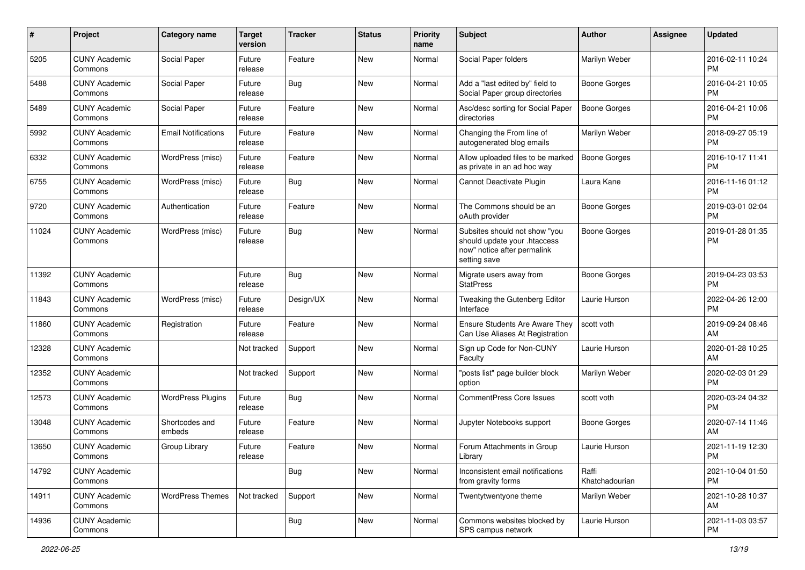| #     | Project                         | <b>Category name</b>       | <b>Target</b><br>version | <b>Tracker</b> | <b>Status</b> | <b>Priority</b><br>name | Subject                                                                                                      | Author                  | Assignee | <b>Updated</b>                |
|-------|---------------------------------|----------------------------|--------------------------|----------------|---------------|-------------------------|--------------------------------------------------------------------------------------------------------------|-------------------------|----------|-------------------------------|
| 5205  | <b>CUNY Academic</b><br>Commons | Social Paper               | Future<br>release        | Feature        | New           | Normal                  | Social Paper folders                                                                                         | Marilyn Weber           |          | 2016-02-11 10:24<br><b>PM</b> |
| 5488  | <b>CUNY Academic</b><br>Commons | Social Paper               | Future<br>release        | <b>Bug</b>     | New           | Normal                  | Add a "last edited by" field to<br>Social Paper group directories                                            | <b>Boone Gorges</b>     |          | 2016-04-21 10:05<br><b>PM</b> |
| 5489  | <b>CUNY Academic</b><br>Commons | Social Paper               | Future<br>release        | Feature        | New           | Normal                  | Asc/desc sorting for Social Paper<br>directories                                                             | Boone Gorges            |          | 2016-04-21 10:06<br><b>PM</b> |
| 5992  | <b>CUNY Academic</b><br>Commons | <b>Email Notifications</b> | Future<br>release        | Feature        | <b>New</b>    | Normal                  | Changing the From line of<br>autogenerated blog emails                                                       | Marilyn Weber           |          | 2018-09-27 05:19<br><b>PM</b> |
| 6332  | <b>CUNY Academic</b><br>Commons | WordPress (misc)           | Future<br>release        | Feature        | New           | Normal                  | Allow uploaded files to be marked<br>as private in an ad hoc way                                             | Boone Gorges            |          | 2016-10-17 11:41<br><b>PM</b> |
| 6755  | <b>CUNY Academic</b><br>Commons | WordPress (misc)           | Future<br>release        | <b>Bug</b>     | New           | Normal                  | Cannot Deactivate Plugin                                                                                     | Laura Kane              |          | 2016-11-16 01:12<br><b>PM</b> |
| 9720  | <b>CUNY Academic</b><br>Commons | Authentication             | Future<br>release        | Feature        | New           | Normal                  | The Commons should be an<br>oAuth provider                                                                   | <b>Boone Gorges</b>     |          | 2019-03-01 02:04<br><b>PM</b> |
| 11024 | <b>CUNY Academic</b><br>Commons | WordPress (misc)           | Future<br>release        | Bug            | New           | Normal                  | Subsites should not show "you<br>should update your .htaccess<br>now" notice after permalink<br>setting save | <b>Boone Gorges</b>     |          | 2019-01-28 01:35<br><b>PM</b> |
| 11392 | <b>CUNY Academic</b><br>Commons |                            | Future<br>release        | <b>Bug</b>     | <b>New</b>    | Normal                  | Migrate users away from<br><b>StatPress</b>                                                                  | <b>Boone Gorges</b>     |          | 2019-04-23 03:53<br><b>PM</b> |
| 11843 | <b>CUNY Academic</b><br>Commons | WordPress (misc)           | Future<br>release        | Design/UX      | <b>New</b>    | Normal                  | Tweaking the Gutenberg Editor<br>Interface                                                                   | Laurie Hurson           |          | 2022-04-26 12:00<br><b>PM</b> |
| 11860 | <b>CUNY Academic</b><br>Commons | Registration               | Future<br>release        | Feature        | New           | Normal                  | Ensure Students Are Aware They<br>Can Use Aliases At Registration                                            | scott voth              |          | 2019-09-24 08:46<br>AM        |
| 12328 | <b>CUNY Academic</b><br>Commons |                            | Not tracked              | Support        | New           | Normal                  | Sign up Code for Non-CUNY<br>Faculty                                                                         | Laurie Hurson           |          | 2020-01-28 10:25<br>AM        |
| 12352 | <b>CUNY Academic</b><br>Commons |                            | Not tracked              | Support        | <b>New</b>    | Normal                  | "posts list" page builder block<br>option                                                                    | Marilyn Weber           |          | 2020-02-03 01:29<br><b>PM</b> |
| 12573 | <b>CUNY Academic</b><br>Commons | <b>WordPress Plugins</b>   | Future<br>release        | <b>Bug</b>     | <b>New</b>    | Normal                  | <b>CommentPress Core Issues</b>                                                                              | scott voth              |          | 2020-03-24 04:32<br><b>PM</b> |
| 13048 | <b>CUNY Academic</b><br>Commons | Shortcodes and<br>embeds   | Future<br>release        | Feature        | New           | Normal                  | Jupyter Notebooks support                                                                                    | Boone Gorges            |          | 2020-07-14 11:46<br>AM        |
| 13650 | <b>CUNY Academic</b><br>Commons | Group Library              | Future<br>release        | Feature        | New           | Normal                  | Forum Attachments in Group<br>Library                                                                        | Laurie Hurson           |          | 2021-11-19 12:30<br>PM        |
| 14792 | <b>CUNY Academic</b><br>Commons |                            |                          | Bug            | New           | Normal                  | Inconsistent email notifications<br>from gravity forms                                                       | Raffi<br>Khatchadourian |          | 2021-10-04 01:50<br><b>PM</b> |
| 14911 | <b>CUNY Academic</b><br>Commons | <b>WordPress Themes</b>    | Not tracked              | Support        | New           | Normal                  | Twentytwentyone theme                                                                                        | Marilyn Weber           |          | 2021-10-28 10:37<br>AM        |
| 14936 | <b>CUNY Academic</b><br>Commons |                            |                          | <b>Bug</b>     | New           | Normal                  | Commons websites blocked by<br>SPS campus network                                                            | Laurie Hurson           |          | 2021-11-03 03:57<br><b>PM</b> |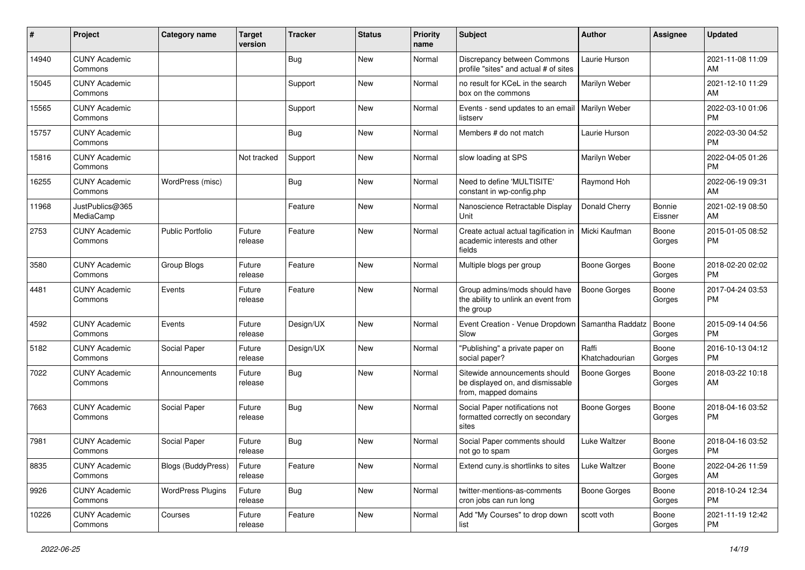| $\sharp$ | Project                         | <b>Category name</b>      | <b>Target</b><br>version | <b>Tracker</b> | <b>Status</b> | <b>Priority</b><br>name | <b>Subject</b>                                                                            | Author                  | Assignee          | <b>Updated</b>                |
|----------|---------------------------------|---------------------------|--------------------------|----------------|---------------|-------------------------|-------------------------------------------------------------------------------------------|-------------------------|-------------------|-------------------------------|
| 14940    | <b>CUNY Academic</b><br>Commons |                           |                          | <b>Bug</b>     | <b>New</b>    | Normal                  | Discrepancy between Commons<br>profile "sites" and actual # of sites                      | Laurie Hurson           |                   | 2021-11-08 11:09<br>AM        |
| 15045    | <b>CUNY Academic</b><br>Commons |                           |                          | Support        | New           | Normal                  | no result for KCeL in the search<br>box on the commons                                    | Marilyn Weber           |                   | 2021-12-10 11:29<br>AM        |
| 15565    | <b>CUNY Academic</b><br>Commons |                           |                          | Support        | New           | Normal                  | Events - send updates to an email<br>listserv                                             | Marilyn Weber           |                   | 2022-03-10 01:06<br><b>PM</b> |
| 15757    | <b>CUNY Academic</b><br>Commons |                           |                          | <b>Bug</b>     | <b>New</b>    | Normal                  | Members # do not match                                                                    | Laurie Hurson           |                   | 2022-03-30 04:52<br><b>PM</b> |
| 15816    | <b>CUNY Academic</b><br>Commons |                           | Not tracked              | Support        | <b>New</b>    | Normal                  | slow loading at SPS                                                                       | Marilyn Weber           |                   | 2022-04-05 01:26<br><b>PM</b> |
| 16255    | <b>CUNY Academic</b><br>Commons | WordPress (misc)          |                          | <b>Bug</b>     | New           | Normal                  | Need to define 'MULTISITE'<br>constant in wp-config.php                                   | Raymond Hoh             |                   | 2022-06-19 09:31<br>AM        |
| 11968    | JustPublics@365<br>MediaCamp    |                           |                          | Feature        | New           | Normal                  | Nanoscience Retractable Display<br>Unit                                                   | Donald Cherry           | Bonnie<br>Eissner | 2021-02-19 08:50<br>AM        |
| 2753     | <b>CUNY Academic</b><br>Commons | <b>Public Portfolio</b>   | Future<br>release        | Feature        | <b>New</b>    | Normal                  | Create actual actual tagification in<br>academic interests and other<br>fields            | Micki Kaufman           | Boone<br>Gorges   | 2015-01-05 08:52<br><b>PM</b> |
| 3580     | <b>CUNY Academic</b><br>Commons | Group Blogs               | Future<br>release        | Feature        | <b>New</b>    | Normal                  | Multiple blogs per group                                                                  | <b>Boone Gorges</b>     | Boone<br>Gorges   | 2018-02-20 02:02<br><b>PM</b> |
| 4481     | <b>CUNY Academic</b><br>Commons | Events                    | Future<br>release        | Feature        | New           | Normal                  | Group admins/mods should have<br>the ability to unlink an event from<br>the group         | <b>Boone Gorges</b>     | Boone<br>Gorges   | 2017-04-24 03:53<br><b>PM</b> |
| 4592     | <b>CUNY Academic</b><br>Commons | Events                    | Future<br>release        | Design/UX      | New           | Normal                  | Event Creation - Venue Dropdown<br>Slow                                                   | Samantha Raddatz        | Boone<br>Gorges   | 2015-09-14 04:56<br><b>PM</b> |
| 5182     | <b>CUNY Academic</b><br>Commons | Social Paper              | Future<br>release        | Design/UX      | New           | Normal                  | "Publishing" a private paper on<br>social paper?                                          | Raffi<br>Khatchadourian | Boone<br>Gorges   | 2016-10-13 04:12<br><b>PM</b> |
| 7022     | <b>CUNY Academic</b><br>Commons | Announcements             | Future<br>release        | <b>Bug</b>     | <b>New</b>    | Normal                  | Sitewide announcements should<br>be displayed on, and dismissable<br>from, mapped domains | Boone Gorges            | Boone<br>Gorges   | 2018-03-22 10:18<br>AM        |
| 7663     | <b>CUNY Academic</b><br>Commons | Social Paper              | Future<br>release        | <b>Bug</b>     | <b>New</b>    | Normal                  | Social Paper notifications not<br>formatted correctly on secondary<br>sites               | <b>Boone Gorges</b>     | Boone<br>Gorges   | 2018-04-16 03:52<br><b>PM</b> |
| 7981     | <b>CUNY Academic</b><br>Commons | Social Paper              | Future<br>release        | <b>Bug</b>     | New           | Normal                  | Social Paper comments should<br>not go to spam                                            | <b>Luke Waltzer</b>     | Boone<br>Gorges   | 2018-04-16 03:52<br><b>PM</b> |
| 8835     | <b>CUNY Academic</b><br>Commons | <b>Blogs (BuddyPress)</b> | Future<br>release        | Feature        | New           | Normal                  | Extend cuny.is shortlinks to sites                                                        | Luke Waltzer            | Boone<br>Gorges   | 2022-04-26 11:59<br>AM        |
| 9926     | <b>CUNY Academic</b><br>Commons | <b>WordPress Plugins</b>  | Future<br>release        | Bug            | New           | Normal                  | twitter-mentions-as-comments<br>cron jobs can run long                                    | <b>Boone Gorges</b>     | Boone<br>Gorges   | 2018-10-24 12:34<br>PM        |
| 10226    | <b>CUNY Academic</b><br>Commons | Courses                   | Future<br>release        | Feature        | New           | Normal                  | Add "My Courses" to drop down<br>list                                                     | scott voth              | Boone<br>Gorges   | 2021-11-19 12:42<br>PM        |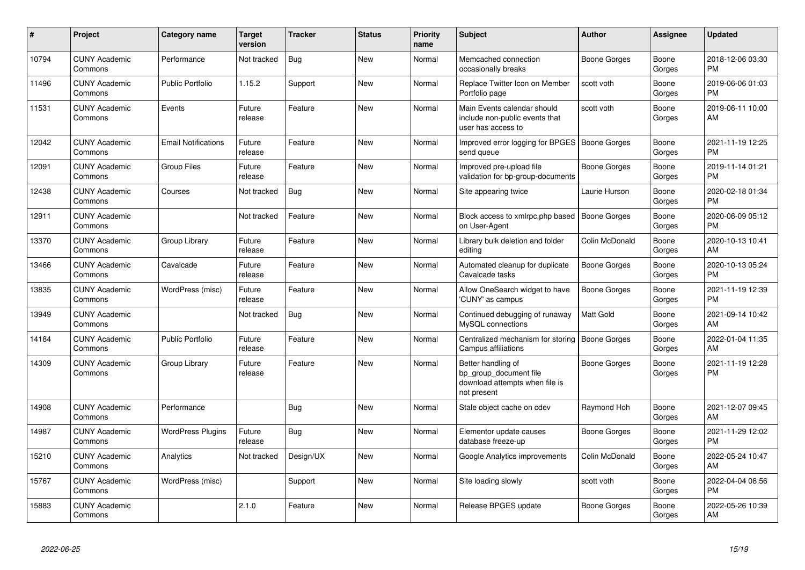| #     | Project                         | <b>Category name</b>       | <b>Target</b><br>version | <b>Tracker</b> | <b>Status</b> | <b>Priority</b><br>name | <b>Subject</b>                                                                                | <b>Author</b>       | Assignee        | <b>Updated</b>                |
|-------|---------------------------------|----------------------------|--------------------------|----------------|---------------|-------------------------|-----------------------------------------------------------------------------------------------|---------------------|-----------------|-------------------------------|
| 10794 | <b>CUNY Academic</b><br>Commons | Performance                | Not tracked              | <b>Bug</b>     | <b>New</b>    | Normal                  | Memcached connection<br>occasionally breaks                                                   | <b>Boone Gorges</b> | Boone<br>Gorges | 2018-12-06 03:30<br><b>PM</b> |
| 11496 | <b>CUNY Academic</b><br>Commons | <b>Public Portfolio</b>    | 1.15.2                   | Support        | <b>New</b>    | Normal                  | Replace Twitter Icon on Member<br>Portfolio page                                              | scott voth          | Boone<br>Gorges | 2019-06-06 01:03<br><b>PM</b> |
| 11531 | <b>CUNY Academic</b><br>Commons | Events                     | Future<br>release        | Feature        | <b>New</b>    | Normal                  | Main Events calendar should<br>include non-public events that<br>user has access to           | scott voth          | Boone<br>Gorges | 2019-06-11 10:00<br>AM        |
| 12042 | <b>CUNY Academic</b><br>Commons | <b>Email Notifications</b> | Future<br>release        | Feature        | New           | Normal                  | Improved error logging for BPGES   Boone Gorges<br>send queue                                 |                     | Boone<br>Gorges | 2021-11-19 12:25<br><b>PM</b> |
| 12091 | <b>CUNY Academic</b><br>Commons | <b>Group Files</b>         | Future<br>release        | Feature        | New           | Normal                  | Improved pre-upload file<br>validation for bp-group-documents                                 | <b>Boone Gorges</b> | Boone<br>Gorges | 2019-11-14 01:21<br><b>PM</b> |
| 12438 | <b>CUNY Academic</b><br>Commons | Courses                    | Not tracked              | <b>Bug</b>     | <b>New</b>    | Normal                  | Site appearing twice                                                                          | Laurie Hurson       | Boone<br>Gorges | 2020-02-18 01:34<br><b>PM</b> |
| 12911 | <b>CUNY Academic</b><br>Commons |                            | Not tracked              | Feature        | <b>New</b>    | Normal                  | Block access to xmlrpc.php based<br>on User-Agent                                             | <b>Boone Gorges</b> | Boone<br>Gorges | 2020-06-09 05:12<br><b>PM</b> |
| 13370 | <b>CUNY Academic</b><br>Commons | Group Library              | Future<br>release        | Feature        | <b>New</b>    | Normal                  | Library bulk deletion and folder<br>editing                                                   | Colin McDonald      | Boone<br>Gorges | 2020-10-13 10:41<br>AM        |
| 13466 | <b>CUNY Academic</b><br>Commons | Cavalcade                  | Future<br>release        | Feature        | <b>New</b>    | Normal                  | Automated cleanup for duplicate<br>Cavalcade tasks                                            | <b>Boone Gorges</b> | Boone<br>Gorges | 2020-10-13 05:24<br><b>PM</b> |
| 13835 | <b>CUNY Academic</b><br>Commons | WordPress (misc)           | Future<br>release        | Feature        | <b>New</b>    | Normal                  | Allow OneSearch widget to have<br>'CUNY' as campus                                            | <b>Boone Gorges</b> | Boone<br>Gorges | 2021-11-19 12:39<br><b>PM</b> |
| 13949 | <b>CUNY Academic</b><br>Commons |                            | Not tracked              | Bug            | <b>New</b>    | Normal                  | Continued debugging of runaway<br>MySQL connections                                           | Matt Gold           | Boone<br>Gorges | 2021-09-14 10:42<br>AM        |
| 14184 | <b>CUNY Academic</b><br>Commons | <b>Public Portfolio</b>    | Future<br>release        | Feature        | <b>New</b>    | Normal                  | Centralized mechanism for storing<br>Campus affiliations                                      | Boone Gorges        | Boone<br>Gorges | 2022-01-04 11:35<br>AM        |
| 14309 | <b>CUNY Academic</b><br>Commons | Group Library              | Future<br>release        | Feature        | <b>New</b>    | Normal                  | Better handling of<br>bp group document file<br>download attempts when file is<br>not present | Boone Gorges        | Boone<br>Gorges | 2021-11-19 12:28<br><b>PM</b> |
| 14908 | <b>CUNY Academic</b><br>Commons | Performance                |                          | Bug            | <b>New</b>    | Normal                  | Stale object cache on cdev                                                                    | Raymond Hoh         | Boone<br>Gorges | 2021-12-07 09:45<br>AM        |
| 14987 | <b>CUNY Academic</b><br>Commons | <b>WordPress Plugins</b>   | Future<br>release        | <b>Bug</b>     | New           | Normal                  | Elementor update causes<br>database freeze-up                                                 | <b>Boone Gorges</b> | Boone<br>Gorges | 2021-11-29 12:02<br><b>PM</b> |
| 15210 | <b>CUNY Academic</b><br>Commons | Analytics                  | Not tracked              | Design/UX      | <b>New</b>    | Normal                  | Google Analytics improvements                                                                 | Colin McDonald      | Boone<br>Gorges | 2022-05-24 10:47<br>AM        |
| 15767 | <b>CUNY Academic</b><br>Commons | WordPress (misc)           |                          | Support        | <b>New</b>    | Normal                  | Site loading slowly                                                                           | scott voth          | Boone<br>Gorges | 2022-04-04 08:56<br><b>PM</b> |
| 15883 | <b>CUNY Academic</b><br>Commons |                            | 2.1.0                    | Feature        | <b>New</b>    | Normal                  | Release BPGES update                                                                          | Boone Gorges        | Boone<br>Gorges | 2022-05-26 10:39<br>AM        |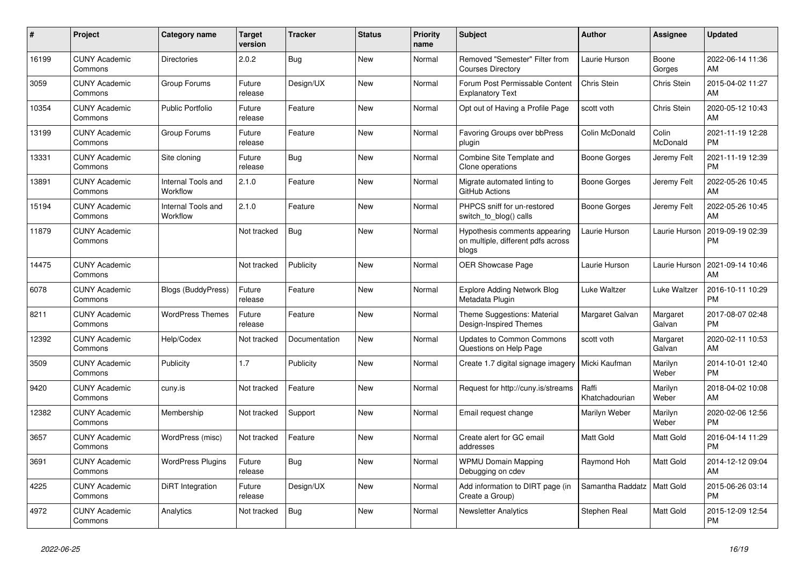| #     | <b>Project</b>                  | Category name                  | <b>Target</b><br>version | <b>Tracker</b> | <b>Status</b> | <b>Priority</b><br>name | <b>Subject</b>                                                               | <b>Author</b>           | <b>Assignee</b>    | <b>Updated</b>                |
|-------|---------------------------------|--------------------------------|--------------------------|----------------|---------------|-------------------------|------------------------------------------------------------------------------|-------------------------|--------------------|-------------------------------|
| 16199 | <b>CUNY Academic</b><br>Commons | <b>Directories</b>             | 2.0.2                    | <b>Bug</b>     | <b>New</b>    | Normal                  | Removed "Semester" Filter from<br><b>Courses Directory</b>                   | Laurie Hurson           | Boone<br>Gorges    | 2022-06-14 11:36<br>AM        |
| 3059  | <b>CUNY Academic</b><br>Commons | Group Forums                   | Future<br>release        | Design/UX      | <b>New</b>    | Normal                  | Forum Post Permissable Content<br><b>Explanatory Text</b>                    | Chris Stein             | Chris Stein        | 2015-04-02 11:27<br>AM        |
| 10354 | <b>CUNY Academic</b><br>Commons | <b>Public Portfolio</b>        | Future<br>release        | Feature        | New           | Normal                  | Opt out of Having a Profile Page                                             | scott voth              | Chris Stein        | 2020-05-12 10:43<br>AM        |
| 13199 | <b>CUNY Academic</b><br>Commons | Group Forums                   | Future<br>release        | Feature        | New           | Normal                  | Favoring Groups over bbPress<br>plugin                                       | Colin McDonald          | Colin<br>McDonald  | 2021-11-19 12:28<br><b>PM</b> |
| 13331 | <b>CUNY Academic</b><br>Commons | Site cloning                   | Future<br>release        | Bug            | <b>New</b>    | Normal                  | Combine Site Template and<br>Clone operations                                | Boone Gorges            | Jeremy Felt        | 2021-11-19 12:39<br><b>PM</b> |
| 13891 | <b>CUNY Academic</b><br>Commons | Internal Tools and<br>Workflow | 2.1.0                    | Feature        | <b>New</b>    | Normal                  | Migrate automated linting to<br>GitHub Actions                               | Boone Gorges            | Jeremy Felt        | 2022-05-26 10:45<br>AM        |
| 15194 | <b>CUNY Academic</b><br>Commons | Internal Tools and<br>Workflow | 2.1.0                    | Feature        | <b>New</b>    | Normal                  | PHPCS sniff for un-restored<br>switch to blog() calls                        | Boone Gorges            | Jeremy Felt        | 2022-05-26 10:45<br>AM        |
| 11879 | <b>CUNY Academic</b><br>Commons |                                | Not tracked              | Bug            | <b>New</b>    | Normal                  | Hypothesis comments appearing<br>on multiple, different pdfs across<br>blogs | Laurie Hurson           | Laurie Hurson      | 2019-09-19 02:39<br><b>PM</b> |
| 14475 | <b>CUNY Academic</b><br>Commons |                                | Not tracked              | Publicity      | <b>New</b>    | Normal                  | OER Showcase Page                                                            | Laurie Hurson           | Laurie Hurson      | 2021-09-14 10:46<br>AM        |
| 6078  | <b>CUNY Academic</b><br>Commons | <b>Blogs (BuddyPress)</b>      | Future<br>release        | Feature        | <b>New</b>    | Normal                  | <b>Explore Adding Network Blog</b><br>Metadata Plugin                        | Luke Waltzer            | Luke Waltzer       | 2016-10-11 10:29<br><b>PM</b> |
| 8211  | <b>CUNY Academic</b><br>Commons | <b>WordPress Themes</b>        | Future<br>release        | Feature        | <b>New</b>    | Normal                  | Theme Suggestions: Material<br>Design-Inspired Themes                        | Margaret Galvan         | Margaret<br>Galvan | 2017-08-07 02:48<br><b>PM</b> |
| 12392 | <b>CUNY Academic</b><br>Commons | Help/Codex                     | Not tracked              | Documentation  | New           | Normal                  | <b>Updates to Common Commons</b><br>Questions on Help Page                   | scott voth              | Margaret<br>Galvan | 2020-02-11 10:53<br>AM        |
| 3509  | <b>CUNY Academic</b><br>Commons | Publicity                      | 1.7                      | Publicity      | New           | Normal                  | Create 1.7 digital signage imagery                                           | Micki Kaufman           | Marilyn<br>Weber   | 2014-10-01 12:40<br><b>PM</b> |
| 9420  | <b>CUNY Academic</b><br>Commons | cuny.is                        | Not tracked              | Feature        | <b>New</b>    | Normal                  | Request for http://cuny.is/streams                                           | Raffi<br>Khatchadourian | Marilyn<br>Weber   | 2018-04-02 10:08<br>AM        |
| 12382 | <b>CUNY Academic</b><br>Commons | Membership                     | Not tracked              | Support        | New           | Normal                  | Email request change                                                         | Marilyn Weber           | Marilyn<br>Weber   | 2020-02-06 12:56<br><b>PM</b> |
| 3657  | <b>CUNY Academic</b><br>Commons | WordPress (misc)               | Not tracked              | Feature        | <b>New</b>    | Normal                  | Create alert for GC email<br>addresses                                       | <b>Matt Gold</b>        | Matt Gold          | 2016-04-14 11:29<br><b>PM</b> |
| 3691  | <b>CUNY Academic</b><br>Commons | <b>WordPress Plugins</b>       | Future<br>release        | <b>Bug</b>     | <b>New</b>    | Normal                  | <b>WPMU Domain Mapping</b><br>Debugging on cdev                              | Raymond Hoh             | Matt Gold          | 2014-12-12 09:04<br>AM        |
| 4225  | <b>CUNY Academic</b><br>Commons | DiRT Integration               | Future<br>release        | Design/UX      | <b>New</b>    | Normal                  | Add information to DIRT page (in<br>Create a Group)                          | Samantha Raddatz        | Matt Gold          | 2015-06-26 03:14<br><b>PM</b> |
| 4972  | <b>CUNY Academic</b><br>Commons | Analytics                      | Not tracked              | Bug            | <b>New</b>    | Normal                  | <b>Newsletter Analytics</b>                                                  | Stephen Real            | Matt Gold          | 2015-12-09 12:54<br><b>PM</b> |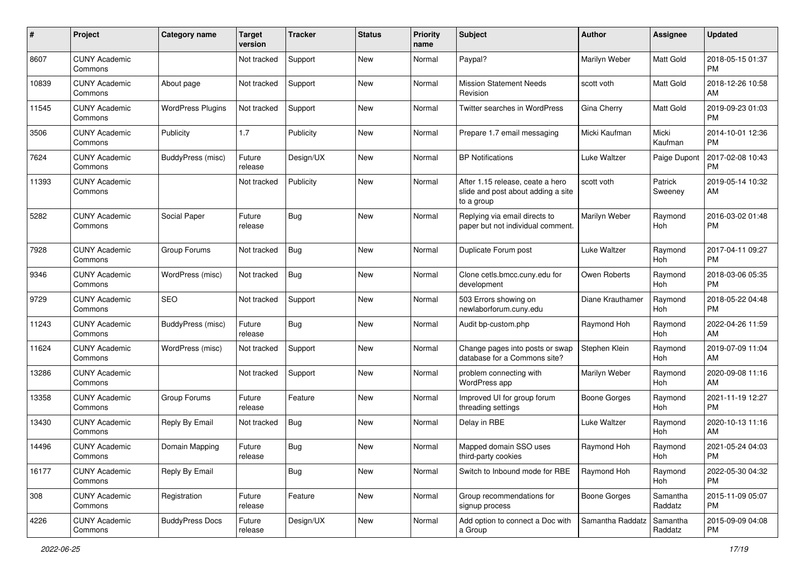| #     | Project                         | <b>Category name</b>     | <b>Target</b><br>version | <b>Tracker</b> | <b>Status</b> | <b>Priority</b><br>name | <b>Subject</b>                                                                       | <b>Author</b>       | <b>Assignee</b>       | <b>Updated</b>                |
|-------|---------------------------------|--------------------------|--------------------------|----------------|---------------|-------------------------|--------------------------------------------------------------------------------------|---------------------|-----------------------|-------------------------------|
| 8607  | <b>CUNY Academic</b><br>Commons |                          | Not tracked              | Support        | <b>New</b>    | Normal                  | Paypal?                                                                              | Marilyn Weber       | Matt Gold             | 2018-05-15 01:37<br><b>PM</b> |
| 10839 | <b>CUNY Academic</b><br>Commons | About page               | Not tracked              | Support        | <b>New</b>    | Normal                  | <b>Mission Statement Needs</b><br>Revision                                           | scott voth          | <b>Matt Gold</b>      | 2018-12-26 10:58<br>AM        |
| 11545 | <b>CUNY Academic</b><br>Commons | <b>WordPress Plugins</b> | Not tracked              | Support        | <b>New</b>    | Normal                  | Twitter searches in WordPress                                                        | Gina Cherry         | <b>Matt Gold</b>      | 2019-09-23 01:03<br><b>PM</b> |
| 3506  | <b>CUNY Academic</b><br>Commons | Publicity                | 1.7                      | Publicity      | <b>New</b>    | Normal                  | Prepare 1.7 email messaging                                                          | Micki Kaufman       | Micki<br>Kaufman      | 2014-10-01 12:36<br><b>PM</b> |
| 7624  | <b>CUNY Academic</b><br>Commons | BuddyPress (misc)        | Future<br>release        | Design/UX      | <b>New</b>    | Normal                  | <b>BP</b> Notifications                                                              | Luke Waltzer        | Paige Dupont          | 2017-02-08 10:43<br><b>PM</b> |
| 11393 | <b>CUNY Academic</b><br>Commons |                          | Not tracked              | Publicity      | <b>New</b>    | Normal                  | After 1.15 release, ceate a hero<br>slide and post about adding a site<br>to a group | scott voth          | Patrick<br>Sweeney    | 2019-05-14 10:32<br>AM        |
| 5282  | <b>CUNY Academic</b><br>Commons | Social Paper             | Future<br>release        | Bug            | <b>New</b>    | Normal                  | Replying via email directs to<br>paper but not individual comment.                   | Marilyn Weber       | Raymond<br>Hoh        | 2016-03-02 01:48<br><b>PM</b> |
| 7928  | <b>CUNY Academic</b><br>Commons | Group Forums             | Not tracked              | <b>Bug</b>     | <b>New</b>    | Normal                  | Duplicate Forum post                                                                 | Luke Waltzer        | Raymond<br><b>Hoh</b> | 2017-04-11 09:27<br><b>PM</b> |
| 9346  | <b>CUNY Academic</b><br>Commons | WordPress (misc)         | Not tracked              | <b>Bug</b>     | <b>New</b>    | Normal                  | Clone cetls.bmcc.cuny.edu for<br>development                                         | Owen Roberts        | Raymond<br>Hoh        | 2018-03-06 05:35<br><b>PM</b> |
| 9729  | <b>CUNY Academic</b><br>Commons | <b>SEO</b>               | Not tracked              | Support        | New           | Normal                  | 503 Errors showing on<br>newlaborforum.cuny.edu                                      | Diane Krauthamer    | Raymond<br>Hoh        | 2018-05-22 04:48<br><b>PM</b> |
| 11243 | <b>CUNY Academic</b><br>Commons | BuddyPress (misc)        | Future<br>release        | Bug            | <b>New</b>    | Normal                  | Audit bp-custom.php                                                                  | Raymond Hoh         | Raymond<br>Hoh        | 2022-04-26 11:59<br>AM        |
| 11624 | <b>CUNY Academic</b><br>Commons | WordPress (misc)         | Not tracked              | Support        | <b>New</b>    | Normal                  | Change pages into posts or swap<br>database for a Commons site?                      | Stephen Klein       | Raymond<br>Hoh        | 2019-07-09 11:04<br>AM        |
| 13286 | <b>CUNY Academic</b><br>Commons |                          | Not tracked              | Support        | <b>New</b>    | Normal                  | problem connecting with<br>WordPress app                                             | Marilyn Weber       | Raymond<br>Hoh        | 2020-09-08 11:16<br>AM        |
| 13358 | <b>CUNY Academic</b><br>Commons | Group Forums             | Future<br>release        | Feature        | <b>New</b>    | Normal                  | Improved UI for group forum<br>threading settings                                    | Boone Gorges        | Raymond<br>Hoh        | 2021-11-19 12:27<br><b>PM</b> |
| 13430 | <b>CUNY Academic</b><br>Commons | Reply By Email           | Not tracked              | <b>Bug</b>     | <b>New</b>    | Normal                  | Delay in RBE                                                                         | Luke Waltzer        | Raymond<br>Hoh        | 2020-10-13 11:16<br>AM        |
| 14496 | <b>CUNY Academic</b><br>Commons | Domain Mapping           | Future<br>release        | Bug            | <b>New</b>    | Normal                  | Mapped domain SSO uses<br>third-party cookies                                        | Raymond Hoh         | Raymond<br>Hoh        | 2021-05-24 04:03<br>PM        |
| 16177 | <b>CUNY Academic</b><br>Commons | Reply By Email           |                          | Bug            | New           | Normal                  | Switch to Inbound mode for RBE                                                       | Raymond Hoh         | Raymond<br>Hoh        | 2022-05-30 04:32<br>PM        |
| 308   | <b>CUNY Academic</b><br>Commons | Registration             | Future<br>release        | Feature        | New           | Normal                  | Group recommendations for<br>signup process                                          | <b>Boone Gorges</b> | Samantha<br>Raddatz   | 2015-11-09 05:07<br>PM        |
| 4226  | <b>CUNY Academic</b><br>Commons | <b>BuddyPress Docs</b>   | Future<br>release        | Design/UX      | New           | Normal                  | Add option to connect a Doc with<br>a Group                                          | Samantha Raddatz    | Samantha<br>Raddatz   | 2015-09-09 04:08<br>PM        |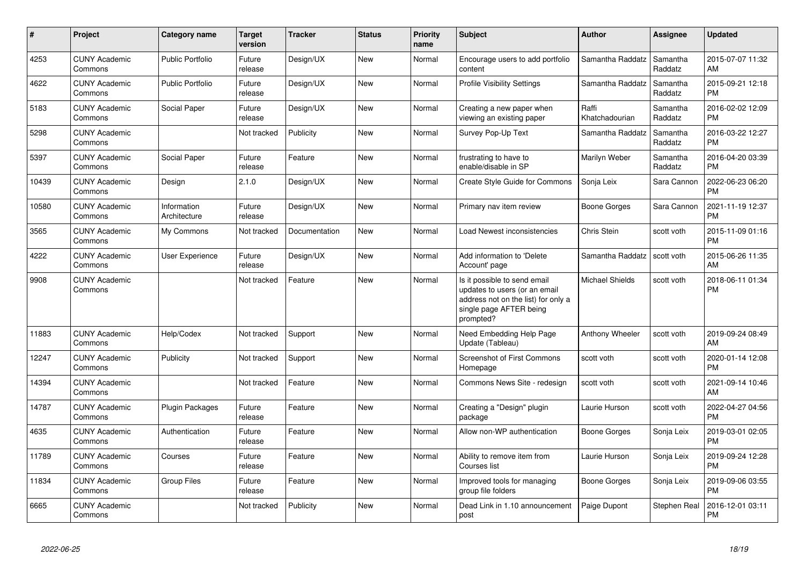| #     | <b>Project</b>                  | <b>Category name</b>        | <b>Target</b><br>version | <b>Tracker</b> | <b>Status</b> | <b>Priority</b><br>name | <b>Subject</b>                                                                                                                               | <b>Author</b>           | <b>Assignee</b>     | <b>Updated</b>                |
|-------|---------------------------------|-----------------------------|--------------------------|----------------|---------------|-------------------------|----------------------------------------------------------------------------------------------------------------------------------------------|-------------------------|---------------------|-------------------------------|
| 4253  | <b>CUNY Academic</b><br>Commons | <b>Public Portfolio</b>     | Future<br>release        | Design/UX      | <b>New</b>    | Normal                  | Encourage users to add portfolio<br>content                                                                                                  | Samantha Raddatz        | Samantha<br>Raddatz | 2015-07-07 11:32<br>AM        |
| 4622  | <b>CUNY Academic</b><br>Commons | <b>Public Portfolio</b>     | Future<br>release        | Design/UX      | <b>New</b>    | Normal                  | <b>Profile Visibility Settings</b>                                                                                                           | Samantha Raddatz        | Samantha<br>Raddatz | 2015-09-21 12:18<br><b>PM</b> |
| 5183  | <b>CUNY Academic</b><br>Commons | Social Paper                | Future<br>release        | Design/UX      | <b>New</b>    | Normal                  | Creating a new paper when<br>viewing an existing paper                                                                                       | Raffi<br>Khatchadourian | Samantha<br>Raddatz | 2016-02-02 12:09<br><b>PM</b> |
| 5298  | <b>CUNY Academic</b><br>Commons |                             | Not tracked              | Publicity      | New           | Normal                  | Survey Pop-Up Text                                                                                                                           | Samantha Raddatz        | Samantha<br>Raddatz | 2016-03-22 12:27<br><b>PM</b> |
| 5397  | <b>CUNY Academic</b><br>Commons | Social Paper                | Future<br>release        | Feature        | New           | Normal                  | frustrating to have to<br>enable/disable in SP                                                                                               | Marilyn Weber           | Samantha<br>Raddatz | 2016-04-20 03:39<br><b>PM</b> |
| 10439 | <b>CUNY Academic</b><br>Commons | Design                      | 2.1.0                    | Design/UX      | New           | Normal                  | Create Style Guide for Commons                                                                                                               | Sonja Leix              | Sara Cannon         | 2022-06-23 06:20<br><b>PM</b> |
| 10580 | <b>CUNY Academic</b><br>Commons | Information<br>Architecture | Future<br>release        | Design/UX      | <b>New</b>    | Normal                  | Primary nav item review                                                                                                                      | Boone Gorges            | Sara Cannon         | 2021-11-19 12:37<br><b>PM</b> |
| 3565  | <b>CUNY Academic</b><br>Commons | My Commons                  | Not tracked              | Documentation  | <b>New</b>    | Normal                  | Load Newest inconsistencies                                                                                                                  | Chris Stein             | scott voth          | 2015-11-09 01:16<br><b>PM</b> |
| 4222  | <b>CUNY Academic</b><br>Commons | User Experience             | Future<br>release        | Design/UX      | New           | Normal                  | Add information to 'Delete<br>Account' page                                                                                                  | Samantha Raddatz        | scott voth          | 2015-06-26 11:35<br>AM        |
| 9908  | <b>CUNY Academic</b><br>Commons |                             | Not tracked              | Feature        | New           | Normal                  | Is it possible to send email<br>updates to users (or an email<br>address not on the list) for only a<br>single page AFTER being<br>prompted? | Michael Shields         | scott voth          | 2018-06-11 01:34<br><b>PM</b> |
| 11883 | <b>CUNY Academic</b><br>Commons | Help/Codex                  | Not tracked              | Support        | New           | Normal                  | Need Embedding Help Page<br>Update (Tableau)                                                                                                 | Anthony Wheeler         | scott voth          | 2019-09-24 08:49<br>AM        |
| 12247 | <b>CUNY Academic</b><br>Commons | Publicity                   | Not tracked              | Support        | New           | Normal                  | Screenshot of First Commons<br>Homepage                                                                                                      | scott voth              | scott voth          | 2020-01-14 12:08<br><b>PM</b> |
| 14394 | <b>CUNY Academic</b><br>Commons |                             | Not tracked              | Feature        | New           | Normal                  | Commons News Site - redesign                                                                                                                 | scott voth              | scott voth          | 2021-09-14 10:46<br>AM        |
| 14787 | <b>CUNY Academic</b><br>Commons | <b>Plugin Packages</b>      | Future<br>release        | Feature        | <b>New</b>    | Normal                  | Creating a "Design" plugin<br>package                                                                                                        | Laurie Hurson           | scott voth          | 2022-04-27 04:56<br><b>PM</b> |
| 4635  | <b>CUNY Academic</b><br>Commons | Authentication              | Future<br>release        | Feature        | <b>New</b>    | Normal                  | Allow non-WP authentication                                                                                                                  | Boone Gorges            | Sonja Leix          | 2019-03-01 02:05<br><b>PM</b> |
| 11789 | <b>CUNY Academic</b><br>Commons | Courses                     | Future<br>release        | Feature        | <b>New</b>    | Normal                  | Ability to remove item from<br>Courses list                                                                                                  | Laurie Hurson           | Sonja Leix          | 2019-09-24 12:28<br><b>PM</b> |
| 11834 | <b>CUNY Academic</b><br>Commons | <b>Group Files</b>          | Future<br>release        | Feature        | <b>New</b>    | Normal                  | Improved tools for managing<br>group file folders                                                                                            | Boone Gorges            | Sonja Leix          | 2019-09-06 03:55<br><b>PM</b> |
| 6665  | <b>CUNY Academic</b><br>Commons |                             | Not tracked              | Publicity      | <b>New</b>    | Normal                  | Dead Link in 1.10 announcement<br>post                                                                                                       | Paige Dupont            | Stephen Real        | 2016-12-01 03:11<br><b>PM</b> |